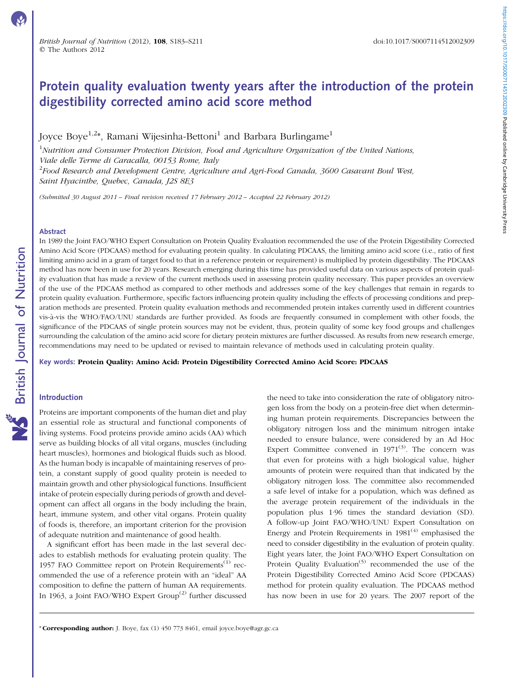## Protein quality evaluation twenty years after the introduction of the protein digestibility corrected amino acid score method

Joyce Boye<sup>1,2\*</sup>, Ramani Wijesinha-Bettoni<sup>1</sup> and Barbara Burlingame<sup>1</sup>

 $1$ Nutrition and Consumer Protection Division, Food and Agriculture Organization of the United Nations, Viale delle Terme di Caracalla, 00153 Rome, Italy  $^{2}$ Food Research and Development Centre, Agriculture and Agri-Food Canada, 3600 Casavant Boul West, Saint Hyacinthe, Quebec, Canada, J2S 8E3

(Submitted 30 August 2011 – Final revision received 17 February 2012 – Accepted 22 February 2012)

#### Abstract

British Journal of Nutrition

**NS** British Journal of Nutrition

In 1989 the Joint FAO/WHO Expert Consultation on Protein Quality Evaluation recommended the use of the Protein Digestibility Corrected Amino Acid Score (PDCAAS) method for evaluating protein quality. In calculating PDCAAS, the limiting amino acid score (i.e., ratio of first limiting amino acid in a gram of target food to that in a reference protein or requirement) is multiplied by protein digestibility. The PDCAAS method has now been in use for 20 years. Research emerging during this time has provided useful data on various aspects of protein quality evaluation that has made a review of the current methods used in assessing protein quality necessary. This paper provides an overview of the use of the PDCAAS method as compared to other methods and addresses some of the key challenges that remain in regards to protein quality evaluation. Furthermore, specific factors influencing protein quality including the effects of processing conditions and preparation methods are presented. Protein quality evaluation methods and recommended protein intakes currently used in different countries vis-a`-vis the WHO/FAO/UNU standards are further provided. As foods are frequently consumed in complement with other foods, the significance of the PDCAAS of single protein sources may not be evident, thus, protein quality of some key food groups and challenges surrounding the calculation of the amino acid score for dietary protein mixtures are further discussed. As results from new research emerge, recommendations may need to be updated or revised to maintain relevance of methods used in calculating protein quality.

Key words: Protein Quality: Amino Acid: Protein Digestibility Corrected Amino Acid Score: PDCAAS

#### Introduction

Proteins are important components of the human diet and play an essential role as structural and functional components of living systems. Food proteins provide amino acids (AA) which serve as building blocks of all vital organs, muscles (including heart muscles), hormones and biological fluids such as blood. As the human body is incapable of maintaining reserves of protein, a constant supply of good quality protein is needed to maintain growth and other physiological functions. Insufficient intake of protein especially during periods of growth and development can affect all organs in the body including the brain, heart, immune system, and other vital organs. Protein quality of foods is, therefore, an important criterion for the provision of adequate nutrition and maintenance of good health.

A significant effort has been made in the last several decades to establish methods for evaluating protein quality. The 1957 FAO Committee report on Protein Requirements<sup>(1)</sup> recommended the use of a reference protein with an "ideal" AA composition to define the pattern of human AA requirements. In 1963, a Joint FAO/WHO Expert Group<sup>(2)</sup> further discussed the need to take into consideration the rate of obligatory nitrogen loss from the body on a protein-free diet when determining human protein requirements. Discrepancies between the obligatory nitrogen loss and the minimum nitrogen intake needed to ensure balance, were considered by an Ad Hoc Expert Committee convened in  $1971^{(3)}$ . The concern was that even for proteins with a high biological value, higher amounts of protein were required than that indicated by the obligatory nitrogen loss. The committee also recommended a safe level of intake for a population, which was defined as the average protein requirement of the individuals in the population plus 1·96 times the standard deviation (SD). A follow-up Joint FAO/WHO/UNU Expert Consultation on Energy and Protein Requirements in  $1981^{(4)}$  emphasised the need to consider digestibility in the evaluation of protein quality. Eight years later, the Joint FAO/WHO Expert Consultation on Protein Quality Evaluation<sup> $(5)$ </sup> recommended the use of the Protein Digestibility Corrected Amino Acid Score (PDCAAS) method for protein quality evaluation. The PDCAAS method has now been in use for 20 years. The 2007 report of the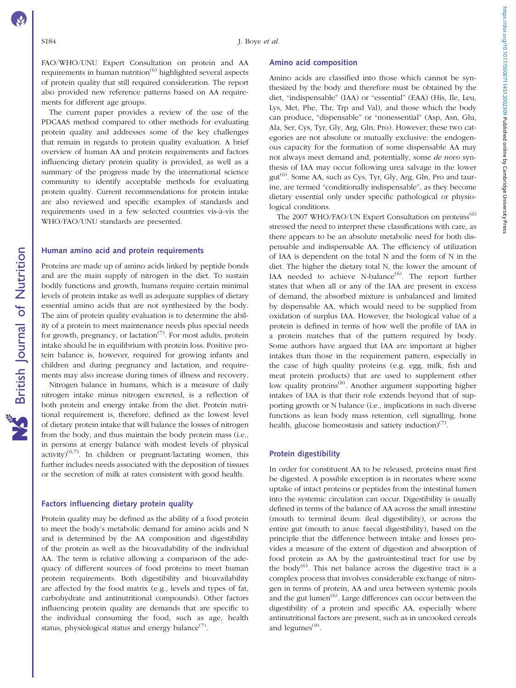FAO/WHO/UNU Expert Consultation on protein and AA requirements in human nutrition $^{(6)}$  highlighted several aspects of protein quality that still required consideration. The report also provided new reference patterns based on AA requirements for different age groups.

The current paper provides a review of the use of the PDCAAS method compared to other methods for evaluating protein quality and addresses some of the key challenges that remain in regards to protein quality evaluation. A brief overview of human AA and protein requirements and factors influencing dietary protein quality is provided, as well as a summary of the progress made by the international science community to identify acceptable methods for evaluating protein quality. Current recommendations for protein intake are also reviewed and specific examples of standards and requirements used in a few selected countries vis-à-vis the WHO/FAO/UNU standards are presented.

#### Human amino acid and protein requirements

Proteins are made up of amino acids linked by peptide bonds and are the main supply of nitrogen in the diet. To sustain bodily functions and growth, humans require certain minimal levels of protein intake as well as adequate supplies of dietary essential amino acids that are not synthesized by the body. The aim of protein quality evaluation is to determine the ability of a protein to meet maintenance needs plus special needs for growth, pregnancy, or lactation<sup> $(7)$ </sup>. For most adults, protein intake should be in equilibrium with protein loss. Positive protein balance is, however, required for growing infants and children and during pregnancy and lactation, and requirements may also increase during times of illness and recovery.

Nitrogen balance in humans, which is a measure of daily nitrogen intake minus nitrogen excreted, is a reflection of both protein and energy intake from the diet. Protein nutritional requirement is, therefore, defined as the lowest level of dietary protein intake that will balance the losses of nitrogen from the body, and thus maintain the body protein mass (i.e., in persons at energy balance with modest levels of physical activity)<sup> $(6,7)$ </sup>. In children or pregnant/lactating women, this further includes needs associated with the deposition of tissues or the secretion of milk at rates consistent with good health.

### Factors influencing dietary protein quality

Protein quality may be defined as the ability of a food protein to meet the body's metabolic demand for amino acids and N and is determined by the AA composition and digestibility of the protein as well as the bioavailability of the individual AA. The term is relative allowing a comparison of the adequacy of different sources of food proteins to meet human protein requirements. Both digestibility and bioavailability are affected by the food matrix (e.g., levels and types of fat, carbohydrate and antinutritional compounds). Other factors influencing protein quality are demands that are specific to the individual consuming the food, such as age, health status, physiological status and energy balance<sup>(7)</sup>.

### Amino acid composition

Amino acids are classified into those which cannot be synthesized by the body and therefore must be obtained by the diet, "indispensable" (IAA) or "essential" (EAA) (His, Ile, Leu, Lys, Met, Phe, Thr, Trp and Val), and those which the body can produce, "dispensable" or "nonessential" (Asp, Asn, Glu, Ala, Ser, Cys, Tyr, Gly, Arg, Gln, Pro). However, these two categories are not absolute or mutually exclusive: the endogenous capacity for the formation of some dispensable AA may not always meet demand and, potentially, some de novo synthesis of IAA may occur following urea salvage in the lower  $gut^{(6)}$ . Some AA, such as Cys, Tyr, Gly, Arg, Gln, Pro and taurine, are termed "conditionally indispensable", as they become dietary essential only under specific pathological or physiological conditions.

The 2007 WHO/FAO/UN Expert Consultation on proteins<sup>(6)</sup> stressed the need to interpret these classifications with care, as there appears to be an absolute metabolic need for both dispensable and indispensable AA. The efficiency of utilization of IAA is dependent on the total N and the form of N in the diet. The higher the dietary total N, the lower the amount of IAA needed to achieve N-balance $^{(6)}$ . The report further states that when all or any of the IAA are present in excess of demand, the absorbed mixture is unbalanced and limited by dispensable AA, which would need to be supplied from oxidation of surplus IAA. However, the biological value of a protein is defined in terms of how well the profile of IAA in a protein matches that of the pattern required by body. Some authors have argued that IAA are important at higher intakes than those in the requirement pattern, especially in the case of high quality proteins (e.g. egg, milk, fish and meat protein products) that are used to supplement other low quality proteins<sup>(8)</sup>. Another argument supporting higher intakes of IAA is that their role extends beyond that of supporting growth or N balance (i.e., implications in such diverse functions as lean body mass retention, cell signalling, bone health, glucose homeostasis and satiety induction)<sup>(7)</sup>.

#### Protein digestibility

In order for constituent AA to be released, proteins must first be digested. A possible exception is in neonates where some uptake of intact proteins or peptides from the intestinal lumen into the systemic circulation can occur. Digestibility is usually defined in terms of the balance of AA across the small intestine (mouth to terminal ileum: ileal digestibility), or across the entire gut (mouth to anus: faecal digestibility), based on the principle that the difference between intake and losses provides a measure of the extent of digestion and absorption of food protein as AA by the gastrointestinal tract for use by the body $^{(6)}$ . This net balance across the digestive tract is a complex process that involves considerable exchange of nitrogen in terms of protein, AA and urea between systemic pools and the gut lumen<sup>(6)</sup>. Large differences can occur between the digestibility of a protein and specific AA, especially where antinutritional factors are present, such as in uncooked cereals and legumes<sup>(9)</sup>.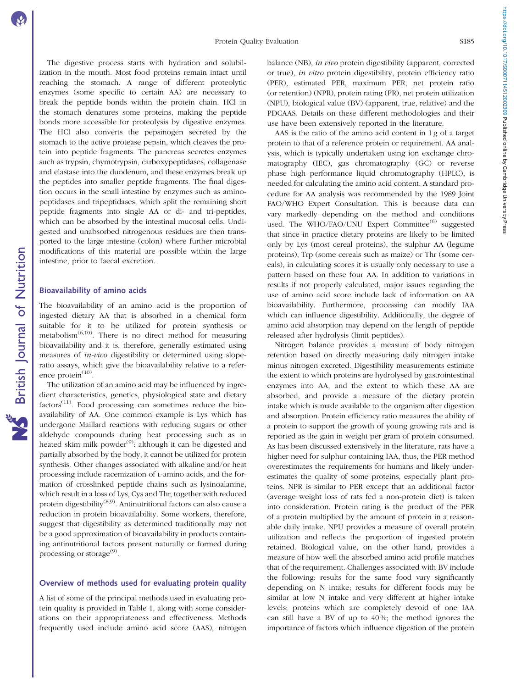The digestive process starts with hydration and solubilization in the mouth. Most food proteins remain intact until reaching the stomach. A range of different proteolytic enzymes (some specific to certain AA) are necessary to break the peptide bonds within the protein chain. HCl in the stomach denatures some proteins, making the peptide bonds more accessible for proteolysis by digestive enzymes. The HCl also converts the pepsinogen secreted by the stomach to the active protease pepsin, which cleaves the protein into peptide fragments. The pancreas secretes enzymes such as trypsin, chymotrypsin, carboxypeptidases, collagenase and elastase into the duodenum, and these enzymes break up the peptides into smaller peptide fragments. The final digestion occurs in the small intestine by enzymes such as aminopeptidases and tripeptidases, which split the remaining short peptide fragments into single AA or di- and tri-peptides, which can be absorbed by the intestinal mucosal cells. Undigested and unabsorbed nitrogenous residues are then transported to the large intestine (colon) where further microbial modifications of this material are possible within the large intestine, prior to faecal excretion.

#### Bioavailability of amino acids

The bioavailability of an amino acid is the proportion of ingested dietary AA that is absorbed in a chemical form suitable for it to be utilized for protein synthesis or metabolism<sup> $(6,10)$ </sup>. There is no direct method for measuring bioavailability and it is, therefore, generally estimated using measures of in-vivo digestibility or determined using sloperatio assays, which give the bioavailability relative to a reference protein<sup>(10)</sup>.

The utilization of an amino acid may be influenced by ingredient characteristics, genetics, physiological state and dietary factors<sup>(11)</sup>. Food processing can sometimes reduce the bioavailability of AA. One common example is Lys which has undergone Maillard reactions with reducing sugars or other aldehyde compounds during heat processing such as in heated skim milk powder<sup>(9)</sup>: although it can be digested and partially absorbed by the body, it cannot be utilized for protein synthesis. Other changes associated with alkaline and/or heat processing include racemization of L-amino acids, and the formation of crosslinked peptide chains such as lysinoalanine, which result in a loss of Lys, Cys and Thr, together with reduced protein digestibility(8,9). Antinutritional factors can also cause a reduction in protein bioavailability. Some workers, therefore, suggest that digestibility as determined traditionally may not be a good approximation of bioavailability in products containing antinutritional factors present naturally or formed during processing or storage<sup>(9)</sup>.

#### Overview of methods used for evaluating protein quality

A list of some of the principal methods used in evaluating protein quality is provided in [Table 1](#page-3-0), along with some considerations on their appropriateness and effectiveness. Methods frequently used include amino acid score (AAS), nitrogen balance (NB), in vivo protein digestibility (apparent, corrected or true), in vitro protein digestibility, protein efficiency ratio (PER), estimated PER, maximum PER, net protein ratio (or retention) (NPR), protein rating (PR), net protein utilization (NPU), biological value (BV) (apparent, true, relative) and the PDCAAS. Details on these different methodologies and their use have been extensively reported in the literature.

AAS is the ratio of the amino acid content in 1 g of a target protein to that of a reference protein or requirement. AA analysis, which is typically undertaken using ion exchange chromatography (IEC), gas chromatography (GC) or reverse phase high performance liquid chromatography (HPLC), is needed for calculating the amino acid content. A standard procedure for AA analysis was recommended by the 1989 Joint FAO/WHO Expert Consultation. This is because data can vary markedly depending on the method and conditions used. The WHO/FAO/UNU Expert Committee<sup>(6)</sup> suggested that since in practice dietary proteins are likely to be limited only by Lys (most cereal proteins), the sulphur AA (legume proteins), Trp (some cereals such as maize) or Thr (some cereals), in calculating scores it is usually only necessary to use a pattern based on these four AA. In addition to variations in results if not properly calculated, major issues regarding the use of amino acid score include lack of information on AA bioavailability. Furthermore, processing can modify IAA which can influence digestibility. Additionally, the degree of amino acid absorption may depend on the length of peptide released after hydrolysis (limit peptides).

Nitrogen balance provides a measure of body nitrogen retention based on directly measuring daily nitrogen intake minus nitrogen excreted. Digestibility measurements estimate the extent to which proteins are hydrolysed by gastrointestinal enzymes into AA, and the extent to which these AA are absorbed, and provide a measure of the dietary protein intake which is made available to the organism after digestion and absorption. Protein efficiency ratio measures the ability of a protein to support the growth of young growing rats and is reported as the gain in weight per gram of protein consumed. As has been discussed extensively in the literature, rats have a higher need for sulphur containing IAA, thus, the PER method overestimates the requirements for humans and likely underestimates the quality of some proteins, especially plant proteins. NPR is similar to PER except that an additional factor (average weight loss of rats fed a non-protein diet) is taken into consideration. Protein rating is the product of the PER of a protein multiplied by the amount of protein in a reasonable daily intake. NPU provides a measure of overall protein utilization and reflects the proportion of ingested protein retained. Biological value, on the other hand, provides a measure of how well the absorbed amino acid profile matches that of the requirement. Challenges associated with BV include the following: results for the same food vary significantly depending on N intake; results for different foods may be similar at low N intake and very different at higher intake levels; proteins which are completely devoid of one IAA can still have a BV of up to 40 %; the method ignores the importance of factors which influence digestion of the protein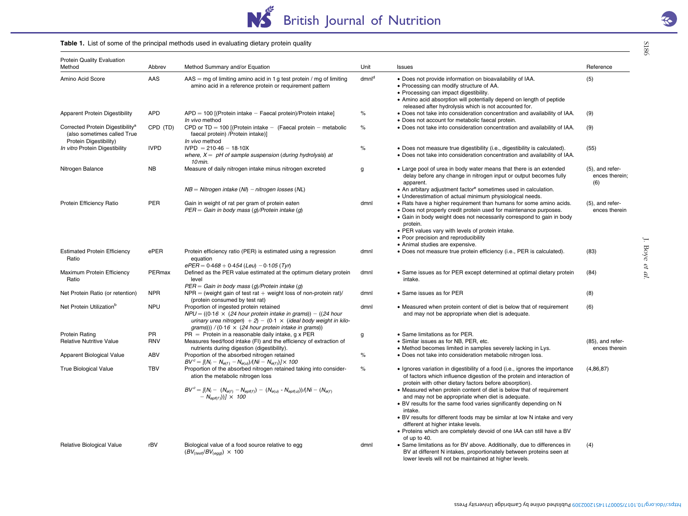# **NS** British Journal of Nutrition

#### <span id="page-3-0"></span>**Table 1.** List of some of the principal methods used in evaluating dietary protein quality

| Protein Quality Evaluation<br>Method                                        | Abbrev      | Method Summary and/or Equation                                                                                                                                                                                                                                               | Unit              | Issues                                                                                                                                                                                                                                                                                                                                                                                                                                                                          | Reference                                   |
|-----------------------------------------------------------------------------|-------------|------------------------------------------------------------------------------------------------------------------------------------------------------------------------------------------------------------------------------------------------------------------------------|-------------------|---------------------------------------------------------------------------------------------------------------------------------------------------------------------------------------------------------------------------------------------------------------------------------------------------------------------------------------------------------------------------------------------------------------------------------------------------------------------------------|---------------------------------------------|
| Amino Acid Score                                                            | AAS         | $AAS = mg$ of limiting amino acid in 1 g test protein / mg of limiting<br>amino acid in a reference protein or requirement pattern                                                                                                                                           | dmnl <sup>d</sup> | . Does not provide information on bioavailability of IAA.<br>• Processing can modify structure of AA.<br>• Processing can impact digestibility.<br>• Amino acid absorption will potentially depend on length of peptide<br>released after hydrolysis which is not accounted for.                                                                                                                                                                                                | (5)                                         |
| <b>Apparent Protein Digestibility</b>                                       | <b>APD</b>  | $APD = 100$ [(Protein intake - Faecal protein)/Protein intake]<br>In vivo method                                                                                                                                                                                             | $\%$              | . Does not take into consideration concentration and availability of IAA.<br>• Does not account for metabolic faecal protein.                                                                                                                                                                                                                                                                                                                                                   | (9)                                         |
| Corrected Protein Digestibility <sup>a</sup><br>(also sometimes called True | CPD (TD)    | CPD or TD = 100 [(Protein intake - (Faecal protein - metabolic<br>faecal protein) /Protein intake)]<br>In vivo method                                                                                                                                                        | $\%$              | . Does not take into consideration concentration and availability of IAA.                                                                                                                                                                                                                                                                                                                                                                                                       | (9)                                         |
| Protein Digestibility)<br>In vitro Protein Digestibility                    | <b>IVPD</b> | $IVPD = 210.46 - 18.10X$<br>where, $X = pH$ of sample suspension (during hydrolysis) at<br>10 min.                                                                                                                                                                           | $\%$              | • Does not measure true digestibility (i.e., digestibility is calculated).<br>. Does not take into consideration concentration and availability of IAA.                                                                                                                                                                                                                                                                                                                         | (55)                                        |
| Nitrogen Balance                                                            | <b>NB</b>   | Measure of daily nitrogen intake minus nitrogen excreted<br>$NB = Nitrogen$ intake $(NI) - nitrogen$ losses $(NL)$                                                                                                                                                           | g                 | • Large pool of urea in body water means that there is an extended<br>delay before any change in nitrogen input or output becomes fully<br>apparent.<br>• An arbitary adjustment factor <sup>e</sup> sometimes used in calculation.                                                                                                                                                                                                                                             | $(5)$ , and refer-<br>ences therein;<br>(6) |
|                                                                             |             |                                                                                                                                                                                                                                                                              |                   | · Underestimation of actual minimum physiological needs.                                                                                                                                                                                                                                                                                                                                                                                                                        |                                             |
| Protein Efficiency Ratio                                                    | PER         | Gain in weight of rat per gram of protein eaten<br>PER = Gain in body mass (g)/Protein intake (g)                                                                                                                                                                            | dmnl              | • Rats have a higher requirement than humans for some amino acids.<br>• Does not properly credit protein used for maintenance purposes.<br>• Gain in body weight does not necessarily correspond to gain in body<br>protein.<br>• PER values vary with levels of protein intake.<br>• Poor precision and reproducibility                                                                                                                                                        | $(5)$ , and refer-<br>ences therein         |
|                                                                             |             |                                                                                                                                                                                                                                                                              |                   | • Animal studies are expensive.                                                                                                                                                                                                                                                                                                                                                                                                                                                 |                                             |
| <b>Estimated Protein Efficiency</b><br>Ratio                                | ePER        | Protein efficiency ratio (PER) is estimated using a regression<br>equation<br>$ePER = 0.468 + 0.454$ (Leu) - 0.105 (Tyr)                                                                                                                                                     | dmnl              | • Does not measure true protein efficiency (i.e., PER is calculated).                                                                                                                                                                                                                                                                                                                                                                                                           | (83)                                        |
| Maximum Protein Efficiency<br>Ratio                                         | PERmax      | Defined as the PER value estimated at the optimum dietary protein<br>level<br>PER = Gain in body mass (g)/Protein intake (g)                                                                                                                                                 | dmnl              | • Same issues as for PER except determined at optimal dietary protein<br>intake.                                                                                                                                                                                                                                                                                                                                                                                                | (84)                                        |
| Net Protein Ratio (or retention)                                            | <b>NPR</b>  | $NPR = (weight gain of test rat + weight loss of non-protein rat)$<br>(protein consumed by test rat)                                                                                                                                                                         | dmnl              | • Same issues as for PER                                                                                                                                                                                                                                                                                                                                                                                                                                                        | (8)                                         |
| Net Protein Utilization <sup>b</sup>                                        | <b>NPU</b>  | Proportion of ingested protein retained<br>$NPU = ((0.16 \times (24 \text{ hour protein intake in grams})) - ((24 \text{ hour}$<br>urinary urea nitrogen) $+2$ ) - (0.1 $\times$ (ideal body weight in kilo-<br>grams))) / (0.16 $\times$ (24 hour protein intake in grams)) | dmnl              | • Measured when protein content of diet is below that of requirement<br>and may not be appropriate when diet is adequate.                                                                                                                                                                                                                                                                                                                                                       | (6)                                         |
| <b>Protein Rating</b>                                                       | <b>PR</b>   | $PR = Protein in a reasonable daily intake, g x PER$                                                                                                                                                                                                                         | g                 | • Same limitations as for PER.                                                                                                                                                                                                                                                                                                                                                                                                                                                  |                                             |
| <b>Relative Nutritive Value</b>                                             | <b>RNV</b>  | Measures feed/food intake (FI) and the efficiency of extraction of                                                                                                                                                                                                           |                   | • Similar issues as for NB, PER, etc.                                                                                                                                                                                                                                                                                                                                                                                                                                           | $(85)$ , and refer-                         |
| Apparent Biological Value                                                   | ABV         | nutrients during digestion (digestibility).<br>Proportion of the absorbed nitrogen retained                                                                                                                                                                                  | $\%$              | • Method becomes limited in samples severely lacking in Lys.<br>. Does not take into consideration metabolic nitrogen loss.                                                                                                                                                                                                                                                                                                                                                     | ences therein                               |
| <b>True Biological Value</b>                                                | <b>TBV</b>  | $BV^c = [(N_i - N_{e(f)} - N_{e(u)})/(Ni - N_{e(f)})] \times 100$<br>Proportion of the absorbed nitrogen retained taking into consider-<br>ation the metabolic nitrogen loss                                                                                                 | $\%$              | • Ignores variation in digestibility of a food (i.e., ignores the importance<br>of factors which influence digestion of the protein and interaction of                                                                                                                                                                                                                                                                                                                          | (4,86,87)                                   |
|                                                                             |             | $BV^c = \underbrace{[N_i - (N_{e(t)} - N_{epf(t)}) - (N_{e(u)} \cdot N_{epf(u)})}/(Ni - (N_{e(t)} - N_{epf(t)})) /N$                                                                                                                                                         |                   | protein with other dietary factors before absorption).<br>• Measured when protein content of diet is below that of requirement<br>and may not be appropriate when diet is adequate.<br>• BV results for the same food varies significantly depending on N<br>intake.<br>• BV results for different foods may be similar at low N intake and very<br>different at higher intake levels.<br>• Proteins which are completely devoid of one IAA can still have a BV<br>of up to 40. |                                             |
| <b>Relative Biological Value</b>                                            | rBV         | Biological value of a food source relative to egg<br>$(BV_{(test)}/BV_{(egg)}) \times 100$                                                                                                                                                                                   | dmnl              | • Same limitations as for BV above. Additionally, due to differences in<br>BV at different N intakes, proportionately between proteins seen at<br>lower levels will not be maintained at higher levels.                                                                                                                                                                                                                                                                         | (4)                                         |

J. Boye $et\ al.$ 8186  $J$ . Boye *et al.* 

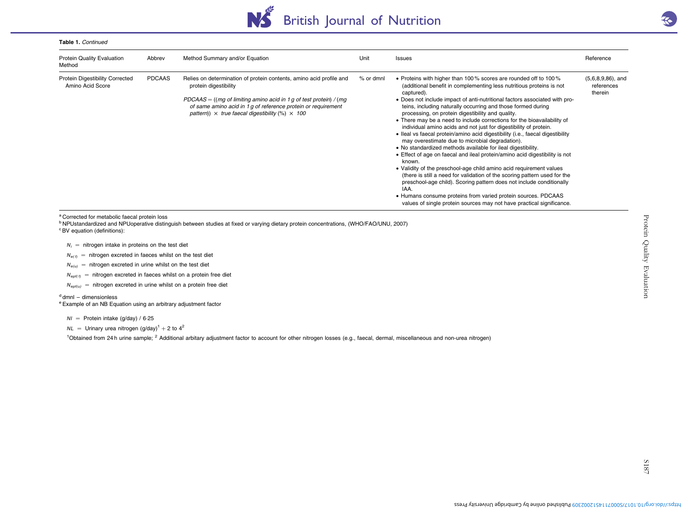





| <b>Protein Quality Evaluation</b><br>Method         | Abbrev        | Method Summary and/or Equation                                                                                                                                                                                                                                                                                                                                                       | Unit      | Issues                                                                                                                                                                                                                                                                                                                                                                                                                                                                                                                                                                                                                                                                                                                                                                                                                                                                                                                                                                                                                                                                                                                                                                                     | Reference                                     |
|-----------------------------------------------------|---------------|--------------------------------------------------------------------------------------------------------------------------------------------------------------------------------------------------------------------------------------------------------------------------------------------------------------------------------------------------------------------------------------|-----------|--------------------------------------------------------------------------------------------------------------------------------------------------------------------------------------------------------------------------------------------------------------------------------------------------------------------------------------------------------------------------------------------------------------------------------------------------------------------------------------------------------------------------------------------------------------------------------------------------------------------------------------------------------------------------------------------------------------------------------------------------------------------------------------------------------------------------------------------------------------------------------------------------------------------------------------------------------------------------------------------------------------------------------------------------------------------------------------------------------------------------------------------------------------------------------------------|-----------------------------------------------|
| Protein Digestibility Corrected<br>Amino Acid Score | <b>PDCAAS</b> | Relies on determination of protein contents, amino acid profile and<br>protein digestibility<br>$PDCAAS = ((mg \space of \space limiting \space amino \space aceil \space in \space 1 \space g \space of \space test \space protein) / (mg \space$<br>of same amino acid in 1 g of reference protein or requirement<br>pattern)) $\times$ true faecal digestibility (%) $\times$ 100 | % or dmnl | • Proteins with higher than 100% scores are rounded off to 100%<br>(additional benefit in complementing less nutritious proteins is not<br>captured).<br>• Does not include impact of anti-nutritional factors associated with pro-<br>teins, including naturally occurring and those formed during<br>processing, on protein digestibility and quality.<br>• There may be a need to include corrections for the bioavailability of<br>individual amino acids and not just for digestibility of protein.<br>. Ileal vs faecal protein/amino acid digestibility (i.e., faecal digestibility<br>may overestimate due to microbial degradation).<br>• No standardized methods available for ileal digestibility.<br>• Effect of age on faecal and ileal protein/amino acid digestibility is not<br>known.<br>• Validity of the preschool-age child amino acid requirement values<br>(there is still a need for validation of the scoring pattern used for the<br>preschool-age child). Scoring pattern does not include conditionally<br><b>IAA</b><br>• Humans consume proteins from varied protein sources. PDCAAS<br>values of single protein sources may not have practical significance. | $(5,6,8,9,86)$ , and<br>references<br>therein |

a Corrected for metabolic faecal protein loss

<sup>b</sup> NPUstandardized and NPUoperative distinguish between studies at fixed or varying dietary protein concentrations, (WHO/FAO/UNU, 2007) <sup>c</sup>BV equation (definitions):

- $N_i$  = nitrogen intake in proteins on the test diet
- $N_{e(f)}$  = nitrogen excreted in faeces whilst on the test diet
- $N_{e(u)}$  = nitrogen excreted in urine whilst on the test diet
- $N_{\text{ecl}(f)}$  = nitrogen excreted in faeces whilst on a protein free diet
- $N_{\text{eof(u)}}$  = nitrogen excreted in urine whilst on a protein free diet
- <sup>d</sup> dmnl dimensionless

<sup>e</sup> Example of an NB Equation using an arbitrary adjustment factor

NI = Protein intake (g/day) / 6·25

 $NL =$  Urinary urea nitrogen (g/day)<sup>1</sup> + 2 to 4<sup>2</sup>

1Obtained from <sup>24</sup> <sup>h</sup> urine sample; <sup>2</sup> Additional arbitary adjustment factor to account for other nitrogen losses (e.g., faecal, dermal, miscellaneous and non-urea nitrogen)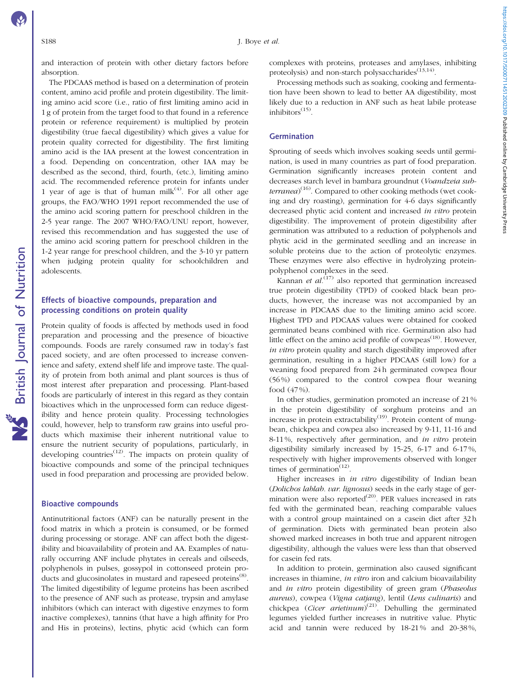British Journal of Nutrition

**NS** British Journal of Nutrition

and interaction of protein with other dietary factors before absorption.

The PDCAAS method is based on a determination of protein content, amino acid profile and protein digestibility. The limiting amino acid score (i.e., ratio of first limiting amino acid in 1 g of protein from the target food to that found in a reference protein or reference requirement) is multiplied by protein digestibility (true faecal digestibility) which gives a value for protein quality corrected for digestibility. The first limiting amino acid is the IAA present at the lowest concentration in a food. Depending on concentration, other IAA may be described as the second, third, fourth, (etc.), limiting amino acid. The recommended reference protein for infants under 1 year of age is that of human milk<sup>(4)</sup>. For all other age groups, the FAO/WHO 1991 report recommended the use of the amino acid scoring pattern for preschool children in the 2-5 year range. The 2007 WHO/FAO/UNU report, however, revised this recommendation and has suggested the use of the amino acid scoring pattern for preschool children in the 1-2 year range for preschool children, and the 3-10 yr pattern when judging protein quality for schoolchildren and adolescents.

### Effects of bioactive compounds, preparation and processing conditions on protein quality

Protein quality of foods is affected by methods used in food preparation and processing and the presence of bioactive compounds. Foods are rarely consumed raw in today's fast paced society, and are often processed to increase convenience and safety, extend shelf life and improve taste. The quality of protein from both animal and plant sources is thus of most interest after preparation and processing. Plant-based foods are particularly of interest in this regard as they contain bioactives which in the unprocessed form can reduce digestibility and hence protein quality. Processing technologies could, however, help to transform raw grains into useful products which maximise their inherent nutritional value to ensure the nutrient security of populations, particularly, in developing countries<sup> $(12)$ </sup>. The impacts on protein quality of bioactive compounds and some of the principal techniques used in food preparation and processing are provided below.

#### Bioactive compounds

Antinutritional factors (ANF) can be naturally present in the food matrix in which a protein is consumed, or be formed during processing or storage. ANF can affect both the digestibility and bioavailability of protein and AA. Examples of naturally occurring ANF include phytates in cereals and oilseeds, polyphenols in pulses, gossypol in cottonseed protein products and glucosinolates in mustard and rapeseed proteins<sup>(8)</sup>. The limited digestibility of legume proteins has been ascribed to the presence of ANF such as protease, trypsin and amylase inhibitors (which can interact with digestive enzymes to form inactive complexes), tannins (that have a high affinity for Pro and His in proteins), lectins, phytic acid (which can form

Processing methods such as soaking, cooking and fermentation have been shown to lead to better AA digestibility, most likely due to a reduction in ANF such as heat labile protease inhibitors<sup>(15)</sup>.

#### **Germination**

Sprouting of seeds which involves soaking seeds until germination, is used in many countries as part of food preparation. Germination significantly increases protein content and decreases starch level in bambara groundnut (Voandzeia subterranea)<sup>(16)</sup>. Compared to other cooking methods (wet cooking and dry roasting), germination for 4-6 days significantly decreased phytic acid content and increased in vitro protein digestibility. The improvement of protein digestibility after germination was attributed to a reduction of polyphenols and phytic acid in the germinated seedling and an increase in soluble proteins due to the action of proteolytic enzymes. These enzymes were also effective in hydrolyzing proteinpolyphenol complexes in the seed.

Kannan et  $al^{(17)}$  also reported that germination increased true protein digestibility (TPD) of cooked black bean products, however, the increase was not accompanied by an increase in PDCAAS due to the limiting amino acid score. Highest TPD and PDCAAS values were obtained for cooked germinated beans combined with rice. Germination also had little effect on the amino acid profile of cowpeas<sup> $(18)$ </sup>. However, in vitro protein quality and starch digestibility improved after germination, resulting in a higher PDCAAS (still low) for a weaning food prepared from 24 h germinated cowpea flour (56 %) compared to the control cowpea flour weaning food (47 %).

In other studies, germination promoted an increase of 21 % in the protein digestibility of sorghum proteins and an increase in protein extractability<sup>(19)</sup>. Protein content of mungbean, chickpea and cowpea also increased by 9-11, 11-16 and 8-11 %, respectively after germination, and in vitro protein digestibility similarly increased by 15-25, 6-17 and 6-17 %, respectively with higher improvements observed with longer times of germination $(12)$ .

Higher increases in in vitro digestibility of Indian bean (Dolichos lablab. var. lignosus) seeds in the early stage of germination were also reported $^{(20)}$ . PER values increased in rats fed with the germinated bean, reaching comparable values with a control group maintained on a casein diet after 32 h of germination. Diets with germinated bean protein also showed marked increases in both true and apparent nitrogen digestibility, although the values were less than that observed for casein fed rats.

In addition to protein, germination also caused significant increases in thiamine, in vitro iron and calcium bioavailability and in vitro protein digestibility of green gram (Phaseolus aureus), cowpea (Vigna catjang), lentil (Lens culinaris) and chickpea (Cicer arietinum)<sup>(21)</sup>. Dehulling the germinated legumes yielded further increases in nutritive value. Phytic acid and tannin were reduced by 18-21 % and 20-38 %,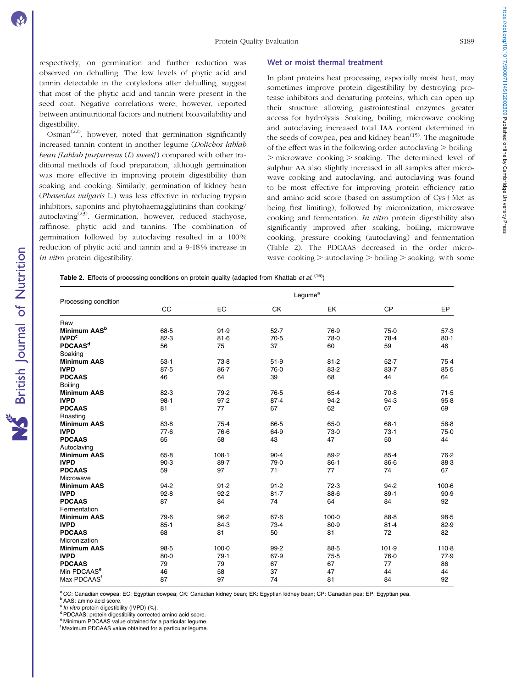<span id="page-6-0"></span>respectively, on germination and further reduction was observed on dehulling. The low levels of phytic acid and tannin detectable in the cotyledons after dehulling, suggest that most of the phytic acid and tannin were present in the seed coat. Negative correlations were, however, reported between antinutritional factors and nutrient bioavailability and digestibility.

 $Osman<sup>(22)</sup>$ , however, noted that germination significantly increased tannin content in another legume (Dolichos lablab bean [Lablab purpuresus (L) sweet]) compared with other traditional methods of food preparation, although germination was more effective in improving protein digestibility than soaking and cooking. Similarly, germination of kidney bean (Phaseolus vulgaris L.) was less effective in reducing trypsin inhibitors, saponins and phytohaemagglutinins than cooking/ autoclaving<sup> $(23)$ </sup>. Germination, however, reduced stachyose, raffinose, phytic acid and tannins. The combination of germination followed by autoclaving resulted in a 100 % reduction of phytic acid and tannin and a 9-18 % increase in in vitro protein digestibility.

#### Wet or moist thermal treatment

In plant proteins heat processing, especially moist heat, may sometimes improve protein digestibility by destroying protease inhibitors and denaturing proteins, which can open up their structure allowing gastrointestinal enzymes greater access for hydrolysis. Soaking, boiling, microwave cooking and autoclaving increased total IAA content determined in the seeds of cowpea, pea and kidney bean $(15)$ . The magnitude of the effect was in the following order: autoclaving  $>$  boiling  $>$  microwave cooking  $>$  soaking. The determined level of sulphur AA also slightly increased in all samples after microwave cooking and autoclaving, and autoclaving was found to be most effective for improving protein efficiency ratio and amino acid score (based on assumption of Cys+Met as being first limiting), followed by micronization, microwave cooking and fermentation. In vitro protein digestibility also significantly improved after soaking, boiling, microwave cooking, pressure cooking (autoclaving) and fermentation (Table 2). The PDCAAS decreased in the order microwave cooking  $>$  autoclaving  $>$  boiling  $>$  soaking, with some

Table 2. Effects of processing conditions on protein quality (adapted from Khattab et al.  $(15)$ )

|                           |          |           |           | Legume <sup>a</sup> |          |           |
|---------------------------|----------|-----------|-----------|---------------------|----------|-----------|
| Processing condition      | CC       | EC        | <b>CK</b> | EK                  | CP       | EP        |
| Raw                       |          |           |           |                     |          |           |
| Minimum AAS <sup>b</sup>  | 68.5     | 91.9      | 52.7      | 76.9                | 75.0     | 57.3      |
| <b>IVPD<sup>c</sup></b>   | 82.3     | $81 - 6$  | 70.5      | 78.0                | 78.4     | $80-1$    |
| <b>PDCAAS<sup>d</sup></b> | 56       | 75        | 37        | 60                  | 59       | 46        |
| Soaking                   |          |           |           |                     |          |           |
| <b>Minimum AAS</b>        | $53-1$   | 73.8      | 51.9      | 81.2                | 52.7     | 75.4      |
| <b>IVPD</b>               | 87.5     | $86 - 7$  | 76.0      | 83-2                | $83 - 7$ | 85.5      |
| <b>PDCAAS</b>             | 46       | 64        | 39        | 68                  | 44       | 64        |
| <b>Boiling</b>            |          |           |           |                     |          |           |
| <b>Minimum AAS</b>        | 82.3     | 79.2      | 76.5      | $65-4$              | $70-8$   | 71.5      |
| <b>IVPD</b>               | $98 - 1$ | 97.2      | 87.4      | 94.2                | 94.3     | $95 - 8$  |
| <b>PDCAAS</b>             | 81       | 77        | 67        | 62                  | 67       | 69        |
| Roasting                  |          |           |           |                     |          |           |
| <b>Minimum AAS</b>        | $83 - 8$ | 75.4      | $66 - 5$  | $65-0$              | $68 - 1$ | 58.8      |
| <b>IVPD</b>               | 77.6     | 76.6      | 64.9      | 73.0                | 73.1     | $75-0$    |
| <b>PDCAAS</b>             | 65       | 58        | 43        | 47                  | 50       | 44        |
| Autoclaving               |          |           |           |                     |          |           |
| <b>Minimum AAS</b>        | $65 - 8$ | $108 - 1$ | $90-4$    | 89.2                | 85.4     | 76.2      |
| <b>IVPD</b>               | 90.3     | 89.7      | 79.0      | $86-1$              | $86 - 6$ | 88-3      |
| <b>PDCAAS</b>             | 59       | 97        | 71        | 77                  | 74       | 67        |
| Microwave                 |          |           |           |                     |          |           |
| <b>Minimum AAS</b>        | 94.2     | 91.2      | 91.2      | 72.3                | 94.2     | $100 - 6$ |
| <b>IVPD</b>               | 92.8     | 92.2      | $81 - 7$  | $88-6$              | 89.1     | 90.9      |
| <b>PDCAAS</b>             | 87       | 84        | 74        | 64                  | 84       | 92        |
| Fermentation              |          |           |           |                     |          |           |
| <b>Minimum AAS</b>        | 79.6     | $96 - 2$  | 67.6      | $100 - 0$           | 88.8     | 98.5      |
| <b>IVPD</b>               | $85 - 1$ | 84.3      | 73.4      | 80.9                | 81.4     | 82.9      |
| <b>PDCAAS</b>             | 68       | 81        | 50        | 81                  | 72       | 82        |
| Micronization             |          |           |           |                     |          |           |
| <b>Minimum AAS</b>        | 98.5     | $100 - 0$ | 99.2      | 88-5                | 101.9    | $110-8$   |
| <b>IVPD</b>               | $80 - 0$ | 79.1      | 67.9      | 75.5                | 76.0     | 77.9      |
| <b>PDCAAS</b>             | 79       | 79        | 67        | 67                  | 77       | 86        |
| Min PDCAAS <sup>e</sup>   | 46       | 58        | 37        | 47                  | 44       | 44        |
| Max PDCAAS <sup>f</sup>   | 87       | 97        | 74        | 81                  | 84       | 92        |

a CC: Canadian cowpea; EC: Egyptian cowpea; CK: Canadian kidney bean; EK: Egyptian kidney bean; CP: Canadian pea; EP: Egyptian pea.

 $\frac{b}{c}$  AAS: amino acid score.<br>  $\frac{c}{c}$  *In vitro* protein digestibility (IVPD) (%).

<sup>d</sup> PDCAAS: protein digestibility corrected amino acid score.

<sup>e</sup> Minimum PDCAAS value obtained for a particular legume.

f Maximum PDCAAS value obtained for a particular legume.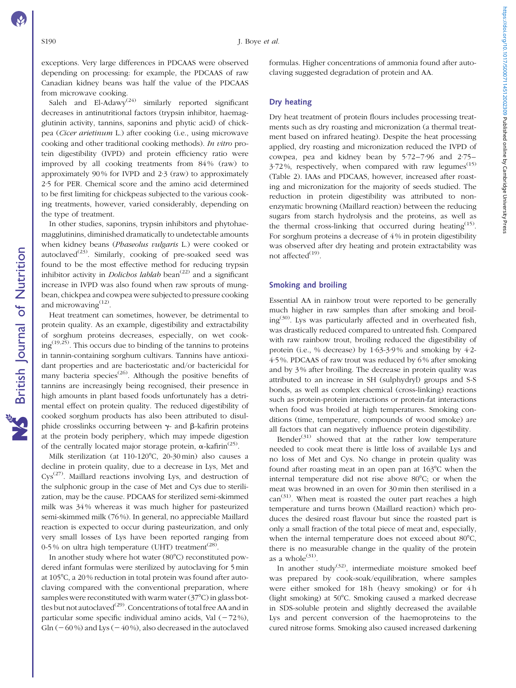exceptions. Very large differences in PDCAAS were observed depending on processing: for example, the PDCAAS of raw Canadian kidney beans was half the value of the PDCAAS from microwave cooking.

Saleh and El-Adawy<sup>(24)</sup> similarly reported significant decreases in antinutritional factors (trypsin inhibitor, haemagglutinin activity, tannins, saponins and phytic acid) of chickpea (Cicer arietinum L.) after cooking (i.e., using microwave cooking and other traditional cooking methods). In vitro protein digestibility (IVPD) and protein efficiency ratio were improved by all cooking treatments from 84 % (raw) to approximately  $90\%$  for IVPD and  $2.3$  (raw) to approximately 2·5 for PER. Chemical score and the amino acid determined to be first limiting for chickpeas subjected to the various cooking treatments, however, varied considerably, depending on the type of treatment.

In other studies, saponins, trypsin inhibitors and phytohaemagglutinins, diminished dramatically to undetectable amounts when kidney beans (Phaseolus vulgaris L.) were cooked or autoclaved<sup> $(23)$ </sup>. Similarly, cooking of pre-soaked seed was found to be the most effective method for reducing trypsin inhibitor activity in *Dolichos lablab* bean<sup> $(22)$ </sup> and a significant increase in IVPD was also found when raw sprouts of mungbean, chickpea and cowpea were subjected to pressure cooking and microwaving<sup>(12)</sup>.

Heat treatment can sometimes, however, be detrimental to protein quality. As an example, digestibility and extractability of sorghum proteins decreases, especially, on wet cooking(19,25). This occurs due to binding of the tannins to proteins in tannin-containing sorghum cultivars. Tannins have antioxidant properties and are bacteriostatic and/or bactericidal for many bacteria species<sup>(26)</sup>. Although the positive benefits of tannins are increasingly being recognised, their presence in high amounts in plant based foods unfortunately has a detrimental effect on protein quality. The reduced digestibility of cooked sorghum products has also been attributed to disulphide crosslinks occurring between  $\gamma$ - and  $\beta$ -kafirin proteins at the protein body periphery, which may impede digestion of the centrally located major storage protein,  $\alpha$ -kafirin<sup>(25)</sup>.

Milk sterilization (at  $110-120^{\circ}$ C,  $20-30$  min) also causes a decline in protein quality, due to a decrease in Lys, Met and Cys(27). Maillard reactions involving Lys, and destruction of the sulphonic group in the case of Met and Cys due to sterilization, may be the cause. PDCAAS for sterilized semi-skimmed milk was 34 % whereas it was much higher for pasteurized semi-skimmed milk (76 %). In general, no appreciable Maillard reaction is expected to occur during pasteurization, and only very small losses of Lys have been reported ranging from 0-5% on ultra high temperature (UHT) treatment<sup> $(28)$ </sup>.

In another study where hot water  $(80^{\circ}C)$  reconstituted powdered infant formulas were sterilized by autoclaving for 5 min at 105°C, a 20% reduction in total protein was found after autoclaving compared with the conventional preparation, where samples were reconstituted with warm water  $(37^{\circ}C)$  in glass bottles but not autoclaved<sup>(29)</sup>. Concentrations of total free AA and in particular some specific individual amino acids, Val  $(-72\%)$ , Gln  $(-60\%)$  and Lys  $(-40\%)$ , also decreased in the autoclaved formulas. Higher concentrations of ammonia found after autoclaving suggested degradation of protein and AA.

#### Dry heating

Dry heat treatment of protein flours includes processing treatments such as dry roasting and micronization (a thermal treatment based on infrared heating). Despite the heat processing applied, dry roasting and micronization reduced the IVPD of cowpea, pea and kidney bean by 5·72–7·96 and 2·75–  $3.72\%$ , respectively, when compared with raw legumes<sup>(15)</sup> [\(Table 2](#page-6-0)). IAAs and PDCAAS, however, increased after roasting and micronization for the majority of seeds studied. The reduction in protein digestibility was attributed to nonenzymatic browning (Maillard reaction) between the reducing sugars from starch hydrolysis and the proteins, as well as the thermal cross-linking that occurred during heating<sup>(15)</sup>. For sorghum proteins a decrease of 4 % in protein digestibility was observed after dry heating and protein extractability was not affected $(19)$ .

#### Smoking and broiling

Essential AA in rainbow trout were reported to be generally much higher in raw samples than after smoking and broiling(30). Lys was particularly affected and in overheated fish, was drastically reduced compared to untreated fish. Compared with raw rainbow trout, broiling reduced the digestibility of protein (i.e., % decrease) by 1·63-3·9 % and smoking by 4·2- 4·5 %. PDCAAS of raw trout was reduced by 6 % after smoking and by 3 % after broiling. The decrease in protein quality was attributed to an increase in SH (sulphydryl) groups and S-S bonds, as well as complex chemical (cross-linking) reactions such as protein-protein interactions or protein-fat interactions when food was broiled at high temperatures. Smoking conditions (time, temperature, compounds of wood smoke) are all factors that can negatively influence protein digestibility.

Bender<sup>(31)</sup> showed that at the rather low temperature needed to cook meat there is little loss of available Lys and no loss of Met and Cys. No change in protein quality was found after roasting meat in an open pan at  $163^{\circ}$ C when the internal temperature did not rise above  $80^{\circ}$ C; or when the meat was browned in an oven for 30 min then sterilised in a  $can<sup>(31)</sup>$ . When meat is roasted the outer part reaches a high temperature and turns brown (Maillard reaction) which produces the desired roast flavour but since the roasted part is only a small fraction of the total piece of meat and, especially, when the internal temperature does not exceed about  $80^{\circ}$ C, there is no measurable change in the quality of the protein as a whole  $(31)$ .

In another study<sup>(32)</sup>, intermediate moisture smoked beef was prepared by cook-soak/equilibration, where samples were either smoked for 18h (heavy smoking) or for 4h (light smoking) at  $50^{\circ}$ C. Smoking caused a marked decrease in SDS-soluble protein and slightly decreased the available Lys and percent conversion of the haemoproteins to the cured nitrose forms. Smoking also caused increased darkening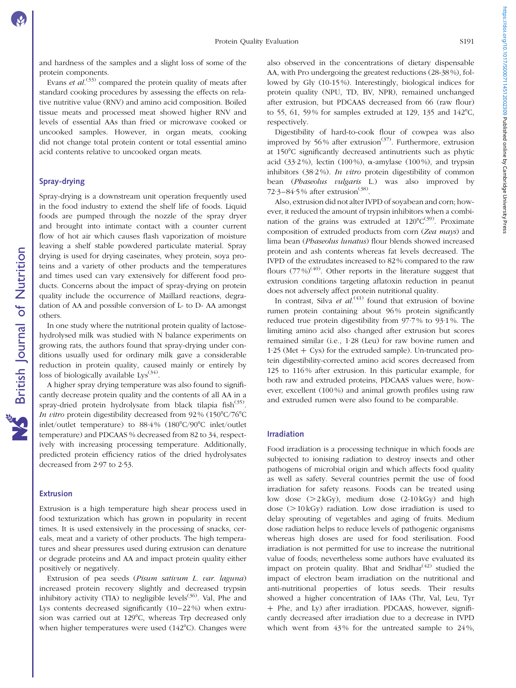and hardness of the samples and a slight loss of some of the protein components.

Evans *et al.*<sup> $(33)$ </sup> compared the protein quality of meats after standard cooking procedures by assessing the effects on relative nutritive value (RNV) and amino acid composition. Boiled tissue meats and processed meat showed higher RNV and levels of essential AAs than fried or microwave cooked or uncooked samples. However, in organ meats, cooking did not change total protein content or total essential amino acid contents relative to uncooked organ meats.

### Spray-drying

Spray-drying is a downstream unit operation frequently used in the food industry to extend the shelf life of foods. Liquid foods are pumped through the nozzle of the spray dryer and brought into intimate contact with a counter current flow of hot air which causes flash vaporization of moisture leaving a shelf stable powdered particulate material. Spray drying is used for drying caseinates, whey protein, soya proteins and a variety of other products and the temperatures and times used can vary extensively for different food products. Concerns about the impact of spray-drying on protein quality include the occurrence of Maillard reactions, degradation of AA and possible conversion of L- to D- AA amongst others.

In one study where the nutritional protein quality of lactosehydrolysed milk was studied with N balance experiments on growing rats, the authors found that spray-drying under conditions usually used for ordinary milk gave a considerable reduction in protein quality, caused mainly or entirely by loss of biologically available  $Lys^{(34)}$ .

A higher spray drying temperature was also found to significantly decrease protein quality and the contents of all AA in a spray-dried protein hydrolysate from black tilapia fish $(35)$ . In vitro protein digestibility decreased from  $92\%$  (150°C/76°C inlet/outlet temperature) to 88.4% (180°C/90°C inlet/outlet temperature) and PDCAAS % decreased from 82 to 34, respectively with increasing processing temperature. Additionally, predicted protein efficiency ratios of the dried hydrolysates decreased from 2·97 to 2·53.

#### Extrusion

Extrusion is a high temperature high shear process used in food texturization which has grown in popularity in recent times. It is used extensively in the processing of snacks, cereals, meat and a variety of other products. The high temperatures and shear pressures used during extrusion can denature or degrade proteins and AA and impact protein quality either positively or negatively.

Extrusion of pea seeds (Pisum sativum L. var. laguna) increased protein recovery slightly and decreased trypsin inhibitory activity (TIA) to negligible levels<sup> $(36)$ </sup>. Val, Phe and Lys contents decreased significantly (10–22 %) when extrusion was carried out at 129°C, whereas Trp decreased only when higher temperatures were used  $(142^{\circ}C)$ . Changes were also observed in the concentrations of dietary dispensable AA, with Pro undergoing the greatest reductions (28-38 %), followed by Gly (10-15 %). Interestingly, biological indices for protein quality (NPU, TD, BV, NPR), remained unchanged after extrusion, but PDCAAS decreased from 66 (raw flour) to 55, 61, 59% for samples extruded at 129, 135 and  $142^{\circ}$ C, respectively.

Digestibility of hard-to-cook flour of cowpea was also improved by 56% after extrusion<sup>(37)</sup>. Furthermore, extrusion at 150°C significantly decreased antinutrients such as phytic acid (33.2%), lectin (100%),  $\alpha$ -amylase (100%), and trypsin inhibitors  $(38.2\%)$ . In vitro protein digestibility of common bean (Phaseolus vulgaris L.) was also improved by 72·3–84·5% after extrusion<sup>(38)</sup>.

Also, extrusion did not alter IVPD of soyabean and corn; however, it reduced the amount of trypsin inhibitors when a combination of the grains was extruded at  $120^{\circ}C^{(39)}$ . Proximate composition of extruded products from corn (Zea mays) and lima bean (Phaseolus lunatus) flour blends showed increased protein and ash contents whereas fat levels decreased. The IVPD of the extrudates increased to 82 % compared to the raw flours  $(77\%)^{(40)}$ . Other reports in the literature suggest that extrusion conditions targeting aflatoxin reduction in peanut does not adversely affect protein nutritional quality.

In contrast, Silva et  $al^{(41)}$  found that extrusion of bovine rumen protein containing about 96 % protein significantly reduced true protein digestibility from 97·7 % to 93·1 %. The limiting amino acid also changed after extrusion but scores remained similar (i.e., 1·28 (Leu) for raw bovine rumen and  $1.25$  (Met  $+$  Cys) for the extruded sample). Un-truncated protein digestibility-corrected amino acid scores decreased from 125 to 116 % after extrusion. In this particular example, for both raw and extruded proteins, PDCAAS values were, however, excellent (100 %) and animal growth profiles using raw and extruded rumen were also found to be comparable.

#### Irradiation

Food irradiation is a processing technique in which foods are subjected to ionising radiation to destroy insects and other pathogens of microbial origin and which affects food quality as well as safety. Several countries permit the use of food irradiation for safety reasons. Foods can be treated using low dose  $(>2 kGy)$ , medium dose  $(2-10 kGy)$  and high dose  $(>10 \text{ kGy})$  radiation. Low dose irradiation is used to delay sprouting of vegetables and aging of fruits. Medium dose radiation helps to reduce levels of pathogenic organisms whereas high doses are used for food sterilisation. Food irradiation is not permitted for use to increase the nutritional value of foods; nevertheless some authors have evaluated its impact on protein quality. Bhat and Sridhar $(42)$  studied the impact of electron beam irradiation on the nutritional and anti-nutritional properties of lotus seeds. Their results showed a higher concentration of IAAs (Thr, Val, Leu, Tyr þ Phe, and Ly) after irradiation. PDCAAS, however, significantly decreased after irradiation due to a decrease in IVPD which went from  $43\%$  for the untreated sample to  $24\%$ ,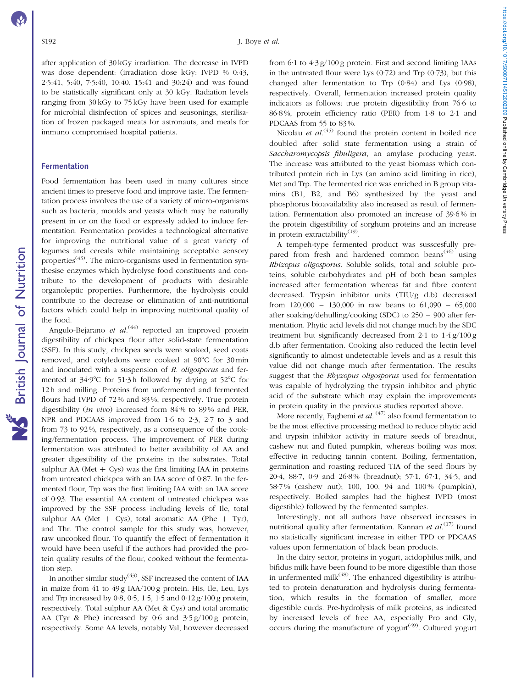after application of 30 kGy irradiation. The decrease in IVPD was dose dependent: (irradiation dose kGy: IVPD % 0:43, 2·5:41, 5:40, 7·5:40, 10:40, 15:41 and 30:24) and was found to be statistically significant only at 30 kGy. Radiation levels ranging from 30 kGy to 75 kGy have been used for example for microbial disinfection of spices and seasonings, sterilisation of frozen packaged meats for astronauts, and meals for immuno compromised hospital patients.

#### Fermentation

British Journal of Nutrition

**NS** British Journal of Nutrition

Food fermentation has been used in many cultures since ancient times to preserve food and improve taste. The fermentation process involves the use of a variety of micro-organisms such as bacteria, moulds and yeasts which may be naturally present in or on the food or expressly added to induce fermentation. Fermentation provides a technological alternative for improving the nutritional value of a great variety of legumes and cereals while maintaining acceptable sensory properties<sup> $(43)$ </sup>. The micro-organisms used in fermentation synthesise enzymes which hydrolyse food constituents and contribute to the development of products with desirable organoleptic properties. Furthermore, the hydrolysis could contribute to the decrease or elimination of anti-nutritional factors which could help in improving nutritional quality of the food.

Angulo-Bejarano et  $al^{(44)}$  reported an improved protein digestibility of chickpea flour after solid-state fermentation (SSF). In this study, chickpea seeds were soaked, seed coats removed, and cotyledons were cooked at 90°C for 30 min and inoculated with a suspension of  $R$ . oligosporus and fermented at  $34.9^{\circ}$ C for  $51.3$  h followed by drying at  $52^{\circ}$ C for 12 h and milling. Proteins from unfermented and fermented flours had IVPD of 72 % and 83 %, respectively. True protein digestibility (in vivo) increased form 84 % to 89 % and PER, NPR and PDCAAS improved from 1·6 to 2·3, 2·7 to 3 and from 73 to 92 %, respectively, as a consequence of the cooking/fermentation process. The improvement of PER during fermentation was attributed to better availability of AA and greater digestibility of the proteins in the substrates. Total sulphur AA (Met  $+$  Cys) was the first limiting IAA in proteins from untreated chickpea with an IAA score of 0·87. In the fermented flour, Trp was the first limiting IAA with an IAA score of 0·93. The essential AA content of untreated chickpea was improved by the SSF process including levels of Ile, total sulphur AA (Met  $+$  Cys), total aromatic AA (Phe  $+$  Tyr), and Thr. The control sample for this study was, however, raw uncooked flour. To quantify the effect of fermentation it would have been useful if the authors had provided the protein quality results of the flour, cooked without the fermentation step.

In another similar study<sup> $(43)$ </sup>, SSF increased the content of IAA in maize from 41 to 49 g IAA/100 g protein. His, Ile, Leu, Lys and Trp increased by 0.8, 0.5, 1.5, 1.5 and  $0.12 \frac{g}{100 \text{ g}}$  protein, respectively. Total sulphur AA (Met & Cys) and total aromatic AA (Tyr & Phe) increased by  $0.6$  and  $3.5 g/100 g$  protein, respectively. Some AA levels, notably Val, however decreased

from  $6·1$  to  $4·3$  g/100 g protein. First and second limiting IAAs in the untreated flour were Lys  $(0.72)$  and Trp  $(0.73)$ , but this changed after fermentation to Trp (0·84) and Lys (0·98), respectively. Overall, fermentation increased protein quality indicators as follows: true protein digestibility from 76·6 to 86·8 %, protein efficiency ratio (PER) from 1·8 to 2·1 and PDCAAS from 55 to 83%.

Nicolau et  $al^{(45)}$  found the protein content in boiled rice doubled after solid state fermentation using a strain of Saccharomycopsis fibuligera, an amylase producing yeast. The increase was attributed to the yeast biomass which contributed protein rich in Lys (an amino acid limiting in rice), Met and Trp. The fermented rice was enriched in B group vitamins (B1, B2, and B6) synthesized by the yeast and phosphorus bioavailability also increased as result of fermentation. Fermentation also promoted an increase of 39·6 % in the protein digestibility of sorghum proteins and an increase in protein extractability<sup>(19)</sup>.

A tempeh-type fermented product was susscesfully prepared from fresh and hardened common beans<sup> $(46)$ </sup> using Rhizopus oligosporus. Soluble solids, total and soluble proteins, soluble carbohydrates and pH of both bean samples increased after fermentation whereas fat and fibre content decreased. Trypsin inhibitor units (TIU/g d.b) decreased from  $120,000 - 130,000$  in raw beans to  $61,090 - 65,000$ after soaking/dehulling/cooking (SDC) to 250 – 900 after fermentation. Phytic acid levels did not change much by the SDC treatment but significantly decreased from 2·1 to 1·4 g/100 g d.b after fermentation. Cooking also reduced the lectin level significantly to almost undetectable levels and as a result this value did not change much after fermentation. The results suggest that the Rhyzopus oligosporus used for fermentation was capable of hydrolyzing the trypsin inhibitor and phytic acid of the substrate which may explain the improvements in protein quality in the previous studies reported above.

More recently, Fagbemi et al.  $(47)$  also found fermentation to be the most effective processing method to reduce phytic acid and trypsin inhibitor activity in mature seeds of breadnut, cashew nut and fluted pumpkin, whereas boiling was most effective in reducing tannin content. Boiling, fermentation, germination and roasting reduced TIA of the seed flours by 20·4, 88·7, 0·9 and 26·8 % (breadnut); 57·1, 67·1, 34·5, and 58·7 % (cashew nut); 100, 100, 94 and 100 % (pumpkin), respectively. Boiled samples had the highest IVPD (most digestible) followed by the fermented samples.

Interestingly, not all authors have observed increases in nutritional quality after fermentation. Kannan et  $al$ .<sup>(17)</sup> found no statistically significant increase in either TPD or PDCAAS values upon fermentation of black bean products.

In the dairy sector, proteins in yogurt, acidophilus milk, and bifidus milk have been found to be more digestible than those in unfermented milk<sup> $(48)$ </sup>. The enhanced digestibility is attributed to protein denaturation and hydrolysis during fermentation, which results in the formation of smaller, more digestible curds. Pre-hydrolysis of milk proteins, as indicated by increased levels of free AA, especially Pro and Gly, occurs during the manufacture of yogurt<sup> $(49)$ </sup>. Cultured yogurt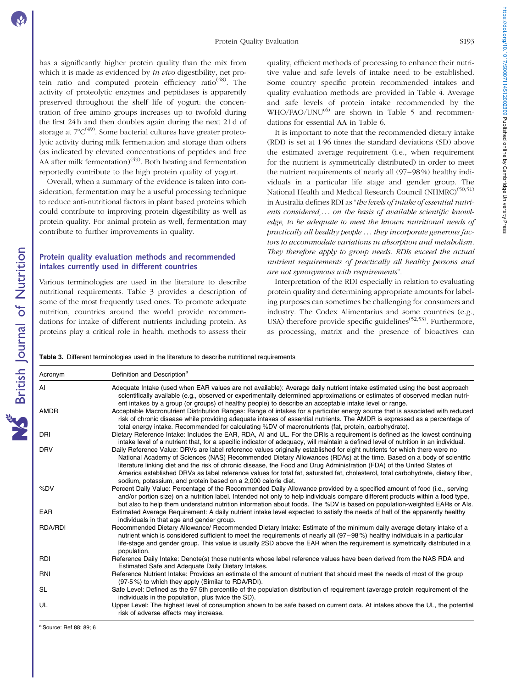has a significantly higher protein quality than the mix from which it is made as evidenced by *in vivo* digestibility, net protein ratio and computed protein efficiency ratio<sup> $(48)$ </sup>. The activity of proteolytic enzymes and peptidases is apparently preserved throughout the shelf life of yogurt: the concentration of free amino groups increases up to twofold during the first 24 h and then doubles again during the next 21 d of storage at  $7^{\circ}C^{(49)}$ . Some bacterial cultures have greater proteolytic activity during milk fermentation and storage than others (as indicated by elevated concentrations of peptides and free AA after milk fermentation)<sup>(49)</sup>. Both heating and fermentation reportedly contribute to the high protein quality of yogurt.

Overall, when a summary of the evidence is taken into consideration, fermentation may be a useful processing technique to reduce anti-nutritional factors in plant based proteins which could contribute to improving protein digestibility as well as protein quality. For animal protein as well, fermentation may contribute to further improvements in quality.

#### Protein quality evaluation methods and recommended intakes currently used in different countries

Various terminologies are used in the literature to describe nutritional requirements. Table 3 provides a description of some of the most frequently used ones. To promote adequate nutrition, countries around the world provide recommendations for intake of different nutrients including protein. As proteins play a critical role in health, methods to assess their quality, efficient methods of processing to enhance their nutritive value and safe levels of intake need to be established. Some country specific protein recommended intakes and quality evaluation methods are provided in [Table 4.](#page-11-0) Average and safe levels of protein intake recommended by the  $WHO/FAO/UNU<sup>(6)</sup>$  are shown in [Table 5](#page-12-0) and recommendations for essential AA in [Table 6.](#page-13-0)

It is important to note that the recommended dietary intake (RDI) is set at 1·96 times the standard deviations (SD) above the estimated average requirement (i.e., when requirement for the nutrient is symmetrically distributed) in order to meet the nutrient requirements of nearly all (97–98 %) healthy individuals in a particular life stage and gender group. The National Health and Medical Research Council (NHMRC)<sup>(50,51)</sup> in Australia defines RDI as "the levels of intake of essential nutrients considered,... on the basis of available scientific knowledge, to be adequate to meet the known nutritional needs of practically all healthy people ... they incorporate generous factors to accommodate variations in absorption and metabolism. They therefore apply to group needs. RDIs exceed the actual nutrient requirements of practically all healthy persons and are not synonymous with requirements".

Interpretation of the RDI especially in relation to evaluating protein quality and determining appropriate amounts for labeling purposes can sometimes be challenging for consumers and industry. The Codex Alimentarius and some countries (e.g., USA) therefore provide specific guidelines<sup> $(52,53)$ </sup>. Furthermore, as processing, matrix and the presence of bioactives can

Table 3. Different terminologies used in the literature to describe nutritional requirements

| Acronym        | Definition and Description <sup>a</sup>                                                                                                                                                                                                                                                                                                                                                                                                                                                                                                                                          |
|----------------|----------------------------------------------------------------------------------------------------------------------------------------------------------------------------------------------------------------------------------------------------------------------------------------------------------------------------------------------------------------------------------------------------------------------------------------------------------------------------------------------------------------------------------------------------------------------------------|
| AI             | Adequate Intake (used when EAR values are not available): Average daily nutrient intake estimated using the best approach<br>scientifically available (e.g., observed or experimentally determined approximations or estimates of observed median nutri-<br>ent intakes by a group (or groups) of healthy people) to describe an acceptable intake level or range.                                                                                                                                                                                                               |
| <b>AMDR</b>    | Acceptable Macronutrient Distribution Ranges: Range of intakes for a particular energy source that is associated with reduced<br>risk of chronic disease while providing adequate intakes of essential nutrients. The AMDR is expressed as a percentage of<br>total energy intake. Recommended for calculating %DV of macronutrients (fat, protein, carbohydrate).                                                                                                                                                                                                               |
| <b>DRI</b>     | Dietary Reference Intake: Includes the EAR, RDA, AI and UL. For the DRIs a requirement is defined as the lowest continuing<br>intake level of a nutrient that, for a specific indicator of adequacy, will maintain a defined level of nutrition in an individual.                                                                                                                                                                                                                                                                                                                |
| <b>DRV</b>     | Daily Reference Value: DRVs are label reference values originally established for eight nutrients for which there were no<br>National Academy of Sciences (NAS) Recommended Dietary Allowances (RDAs) at the time. Based on a body of scientific<br>literature linking diet and the risk of chronic disease, the Food and Drug Administration (FDA) of the United States of<br>America established DRVs as label reference values for total fat, saturated fat, cholesterol, total carbohydrate, dietary fiber,<br>sodium, potassium, and protein based on a 2,000 calorie diet. |
| %DV            | Percent Daily Value: Percentage of the Recommended Daily Allowance provided by a specified amount of food (i.e., serving<br>and/or portion size) on a nutrition label. Intended not only to help individuals compare different products within a food type,<br>but also to help them understand nutrition information about foods. The %DV is based on population-weighted EARs or Als.                                                                                                                                                                                          |
| <b>EAR</b>     | Estimated Average Requirement: A daily nutrient intake level expected to satisfy the needs of half of the apparently healthy<br>individuals in that age and gender group.                                                                                                                                                                                                                                                                                                                                                                                                        |
| <b>RDA/RDI</b> | Recommended Dietary Allowance/ Recommended Dietary Intake: Estimate of the minimum daily average dietary intake of a<br>nutrient which is considered sufficient to meet the requirements of nearly all (97-98%) healthy individuals in a particular<br>life-stage and gender group. This value is usually 2SD above the EAR when the requirement is symetrically distributed in a<br>population.                                                                                                                                                                                 |
| <b>RDI</b>     | Reference Daily Intake: Denote(s) those nutrients whose label reference values have been derived from the NAS RDA and<br>Estimated Safe and Adequate Daily Dietary Intakes.                                                                                                                                                                                                                                                                                                                                                                                                      |
| <b>RNI</b>     | Reference Nutrient Intake: Provides an estimate of the amount of nutrient that should meet the needs of most of the group<br>(97.5%) to which they apply (Similar to RDA/RDI).                                                                                                                                                                                                                                                                                                                                                                                                   |
| <b>SL</b>      | Safe Level: Defined as the 97-5th percentile of the population distribution of requirement (average protein requirement of the<br>individuals in the population, plus twice the SD).                                                                                                                                                                                                                                                                                                                                                                                             |
| UL             | Upper Level: The highest level of consumption shown to be safe based on current data. At intakes above the UL, the potential<br>risk of adverse effects may increase.                                                                                                                                                                                                                                                                                                                                                                                                            |

<sup>a</sup> Source: Ref 88; 89; 6

British Journal of Nutrition

NS British Journal of Nutrition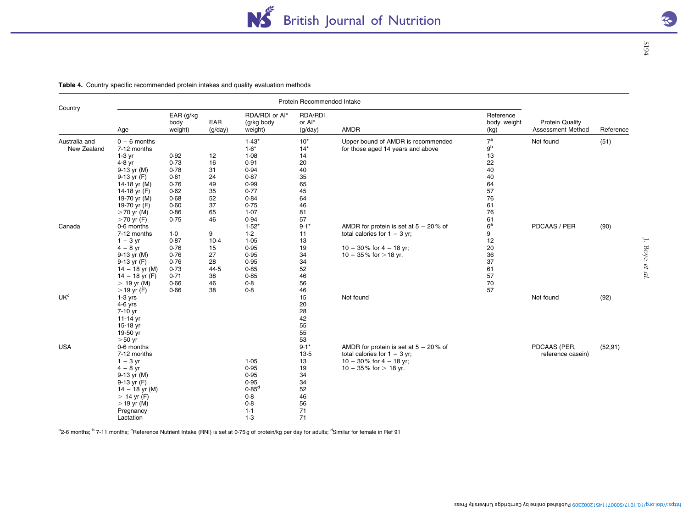#### <span id="page-11-0"></span>Table 4. Country specific recommended protein intakes and quality evaluation methods

| Country                      |                                                                                                                                                                     |                                                      |                                        |                                                                           | Protein Recommended Intake                                           |                                                                                                                                          |                                                                      |                                                    |           |
|------------------------------|---------------------------------------------------------------------------------------------------------------------------------------------------------------------|------------------------------------------------------|----------------------------------------|---------------------------------------------------------------------------|----------------------------------------------------------------------|------------------------------------------------------------------------------------------------------------------------------------------|----------------------------------------------------------------------|----------------------------------------------------|-----------|
|                              | Age                                                                                                                                                                 | EAR (g/kg<br>body<br>weight)                         | EAR<br>(g/day)                         | RDA/RDI or Al*<br>(g/kg body<br>weight)                                   | <b>RDA/RDI</b><br>or Al*<br>(g/day)                                  | AMDR                                                                                                                                     | Reference<br>body weight<br>(kg)                                     | <b>Protein Quality</b><br><b>Assessment Method</b> | Reference |
| Australia and<br>New Zealand | $0 - 6$ months<br>7-12 months<br>$1-3$ yr<br>$4-8$ yr<br>9-13 yr (M)<br>9-13 yr (F)<br>14-18 yr (M)<br>14-18 yr (F)<br>19-70 yr (M)                                 | 0.92<br>0.73<br>0.78<br>0.61<br>0.76<br>0.62<br>0.68 | 12<br>16<br>31<br>24<br>49<br>35<br>52 | $1.43*$<br>$1.6*$<br>1.08<br>0.91<br>0.94<br>0.87<br>0.99<br>0.77<br>0.84 | $10*$<br>$14*$<br>14<br>20<br>40<br>35<br>65<br>45<br>64             | Upper bound of AMDR is recommended<br>for those aged 14 years and above                                                                  | $7^{\rm a}$<br>$9^{\rm b}$<br>13<br>22<br>40<br>40<br>64<br>57<br>76 | Not found                                          | (51)      |
| Canada                       | 19-70 yr (F)<br>$>70$ yr (M)<br>$>70$ yr (F)<br>0-6 months<br>7-12 months<br>$1 - 3$ yr<br>$4 - 8$ yr                                                               | 0.60<br>0.86<br>0.75<br>$1-0$<br>0.87<br>0.76        | 37<br>65<br>46<br>9<br>$10-4$<br>15    | 0.75<br>1.07<br>0.94<br>$1.52*$<br>1.2<br>1.05<br>0.95                    | 46<br>81<br>57<br>$9.1*$<br>11<br>13<br>19                           | AMDR for protein is set at $5 - 20\%$ of<br>total calories for $1 - 3$ yr;<br>$10 - 30\%$ for $4 - 18$ yr;                               | 61<br>76<br>61<br>6 <sup>a</sup><br>9<br>12<br>20                    | PDCAAS / PER                                       | (90)      |
|                              | 9-13 yr (M)<br>9-13 yr (F)<br>$14 - 18$ yr (M)<br>$14 - 18$ yr (F)<br>$> 19$ yr (M)<br>$>$ 19 yr (F)                                                                | 0.76<br>0.76<br>0.73<br>0.71<br>0.66<br>0.66         | 27<br>28<br>44.5<br>38<br>46<br>38     | 0.95<br>0.95<br>0.85<br>0.85<br>0.8<br>0.8                                | 34<br>34<br>52<br>46<br>56<br>46                                     | 10 - 35% for $>$ 18 yr.                                                                                                                  | 36<br>37<br>61<br>57<br>70<br>57                                     |                                                    |           |
| <b>UK<sup>c</sup></b>        | $1-3$ yrs<br>$4-6$ yrs<br>7-10 yr<br>11-14 $yr$<br>15-18 yr<br>19-50 yr<br>$>50$ yr                                                                                 |                                                      |                                        |                                                                           | 15<br>20<br>28<br>42<br>55<br>55<br>53                               | Not found                                                                                                                                |                                                                      | Not found                                          | (92)      |
| <b>USA</b>                   | 0-6 months<br>7-12 months<br>$1 - 3$ yr<br>$4 - 8$ yr<br>9-13 yr (M)<br>9-13 yr (F)<br>$14 - 18$ yr (M)<br>$> 14$ yr (F)<br>$>$ 19 yr (M)<br>Pregnancy<br>Lactation |                                                      |                                        | 1.05<br>0.95<br>0.95<br>0.95<br>$0.85^{d}$<br>0.8<br>0.8<br>1.1<br>1.3    | $9.1*$<br>13.5<br>13<br>19<br>34<br>34<br>52<br>46<br>56<br>71<br>71 | AMDR for protein is set at $5 - 20\%$ of<br>total calories for $1 - 3$ yr;<br>$10 - 30\%$ for $4 - 18$ yr;<br>$10 - 35\%$ for $> 18$ yr. |                                                                      | PDCAAS (PER,<br>reference casein)                  | (52, 91)  |

a<sub>2</sub>-6 months; <sup>b</sup> 7-11 months; <sup>c</sup>Reference Nutrient Intake (RNI) is set at 0.75 g of protein/kg per day for adults; <sup>d</sup>Similar for female in Ref 91

 $8194$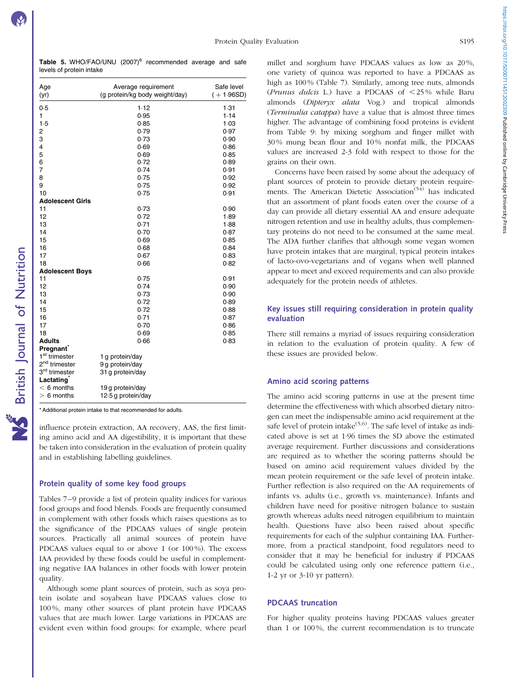<span id="page-12-0"></span>Table 5. WHO/FAO/UNU (2007)<sup>6</sup> recommended average and safe levels of protein intake

| Age<br>(yr)               | Average requirement<br>(g protein/kg body weight/day) | Safe level<br>$( + 1.96SD)$ |
|---------------------------|-------------------------------------------------------|-----------------------------|
|                           |                                                       |                             |
| 0.5                       | 1.12                                                  | $1-31$                      |
| $\mathbf{1}$              | 0.95                                                  | 1.14                        |
| 1.5                       | 0.85                                                  | 1.03                        |
| 2                         | 0.79                                                  | 0.97                        |
| 3                         | 0.73                                                  | 0.90                        |
| 4                         | 0.69                                                  | 0.86                        |
| 5                         | 0.69                                                  | 0.85                        |
| 6                         | 0.72                                                  | 0.89                        |
| $\overline{7}$            | 0.74                                                  | 0.91                        |
| 8                         | 0.75                                                  | 0.92                        |
| 9                         | 0.75                                                  | 0.92                        |
| 10                        | 0.75                                                  | 0.91                        |
| <b>Adolescent Girls</b>   |                                                       |                             |
| 11                        | 0.73                                                  | 0.90                        |
| 12                        | 0.72                                                  | 1.89                        |
| 13                        | 0.71                                                  | 1.88                        |
| 14                        | 0.70                                                  | 0.87                        |
| 15                        | 0.69                                                  | 0.85                        |
| 16                        | 0.68                                                  | 0.84                        |
| 17                        | 0.67                                                  | 0.83                        |
| 18                        | 0.66                                                  | 0.82                        |
| <b>Adolescent Boys</b>    |                                                       |                             |
| 11                        | 0.75                                                  | 0.91                        |
| 12                        | 0.74                                                  | 0.90                        |
| 13                        | 0.73                                                  | 0.90                        |
| 14                        | 0.72                                                  | 0.89                        |
| 15                        | 0.72                                                  | 0.88                        |
| 16                        | 0.71                                                  | 0.87                        |
| 17                        | 0.70                                                  | 0.86                        |
| 18                        | 0.69                                                  | 0.85                        |
| <b>Adults</b>             | 0.66                                                  | 0.83                        |
| <b>Pregnant</b>           |                                                       |                             |
| 1 <sup>st</sup> trimester | 1 g protein/day                                       |                             |
| 2 <sup>nd</sup> trimester | 9 g protein/day                                       |                             |
| 3 <sup>rd</sup> trimester | 31 g protein/day                                      |                             |
| Lactating <sup>*</sup>    |                                                       |                             |
| $< 6$ months              | 19g protein/day                                       |                             |
| $> 6$ months              | 12.5 g protein/day                                    |                             |
|                           |                                                       |                             |

\* Additional protein intake to that recommended for adults.

influence protein extraction, AA recovery, AAS, the first limiting amino acid and AA digestibility, it is important that these be taken into consideration in the evaluation of protein quality and in establishing labelling guidelines.

#### Protein quality of some key food groups

[Tables 7–9](#page-14-0) provide a list of protein quality indices for various food groups and food blends. Foods are frequently consumed in complement with other foods which raises questions as to the significance of the PDCAAS values of single protein sources. Practically all animal sources of protein have PDCAAS values equal to or above 1 (or 100 %). The excess IAA provided by these foods could be useful in complementing negative IAA balances in other foods with lower protein quality.

Although some plant sources of protein, such as soya protein isolate and soyabean have PDCAAS values close to 100 %, many other sources of plant protein have PDCAAS values that are much lower. Large variations in PDCAAS are evident even within food groups: for example, where pearl millet and sorghum have PDCAAS values as low as 20 %, one variety of quinoa was reported to have a PDCAAS as high as 100 % ([Table 7\)](#page-14-0). Similarly, among tree nuts, almonds (Prunus dulcis L.) have a PDCAAS of  $<$  25% while Baru almonds (Dipteryx alata Vog.) and tropical almonds (Terminalia catappa) have a value that is almost three times higher. The advantage of combining food proteins is evident from [Table 9:](#page-21-0) by mixing sorghum and finger millet with 30 % mung bean flour and 10 % nonfat milk, the PDCAAS values are increased 2-3 fold with respect to those for the grains on their own.

Concerns have been raised by some about the adequacy of plant sources of protein to provide dietary protein requirements. The American Dietetic Association<sup>(54)</sup> has indicated that an assortment of plant foods eaten over the course of a day can provide all dietary essential AA and ensure adequate nitrogen retention and use in healthy adults, thus complementary proteins do not need to be consumed at the same meal. The ADA further clarifies that although some vegan women have protein intakes that are marginal, typical protein intakes of lacto-ovo-vegetarians and of vegans when well planned appear to meet and exceed requirements and can also provide adequately for the protein needs of athletes.

#### Key issues still requiring consideration in protein quality evaluation

There still remains a myriad of issues requiring consideration in relation to the evaluation of protein quality. A few of these issues are provided below.

#### Amino acid scoring patterns

The amino acid scoring patterns in use at the present time determine the effectiveness with which absorbed dietary nitrogen can meet the indispensable amino acid requirement at the safe level of protein intake<sup> $(5,6)$ </sup>. The safe level of intake as indicated above is set at 1·96 times the SD above the estimated average requirement. Further discussions and considerations are required as to whether the scoring patterns should be based on amino acid requirement values divided by the mean protein requirement or the safe level of protein intake. Further reflection is also required on the AA requirements of infants vs. adults (i.e., growth vs. maintenance). Infants and children have need for positive nitrogen balance to sustain growth whereas adults need nitrogen equilibrium to maintain health. Questions have also been raised about specific requirements for each of the sulphur containing IAA. Furthermore, from a practical standpoint, food regulators need to consider that it may be beneficial for industry if PDCAAS could be calculated using only one reference pattern (i.e., 1-2 yr or 3-10 yr pattern).

#### PDCAAS truncation

For higher quality proteins having PDCAAS values greater than 1 or 100 %, the current recommendation is to truncate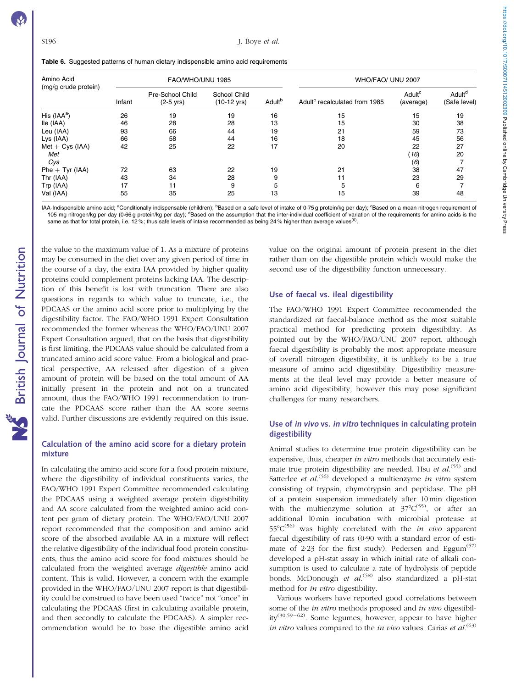British Journal of Nutrition

NS British Journal of Nutrition

#### <span id="page-13-0"></span> $S196$  J. Boye et al.

|  | Table 6. Suggested patterns of human dietary indispensible amino acid requirements |  |  |  |  |  |  |  |  |  |
|--|------------------------------------------------------------------------------------|--|--|--|--|--|--|--|--|--|
|--|------------------------------------------------------------------------------------|--|--|--|--|--|--|--|--|--|

| Amino Acid           |        | FAO/WHO/UNU 1985                |                                       | WHO/FAO/ UNU 2007  |                                           |                                 |                                    |  |
|----------------------|--------|---------------------------------|---------------------------------------|--------------------|-------------------------------------------|---------------------------------|------------------------------------|--|
| (mg/g crude protein) | Infant | Pre-School Child<br>$(2-5$ yrs) | School Child<br>$(10-12 \text{ yrs})$ | Adult <sup>b</sup> | Adult <sup>c</sup> recalculated from 1985 | Adult <sup>c</sup><br>(average) | Adult <sup>d</sup><br>(Safe level) |  |
| His $(IAA^a)$        | 26     | 19                              | 19                                    | 16                 | 15                                        | 15                              | 19                                 |  |
| Ile (IAA)            | 46     | 28                              | 28                                    | 13                 | 15                                        | 30                              | 38                                 |  |
| Leu (IAA)            | 93     | 66                              | 44                                    | 19                 | 21                                        | 59                              | 73                                 |  |
| Lys (IAA)            | 66     | 58                              | 44                                    | 16                 | 18                                        | 45                              | 56                                 |  |
| $Met + Cys (IAA)$    | 42     | 25                              | 22                                    | 17                 | 20                                        | 22                              | 27                                 |  |
| Met                  |        |                                 |                                       |                    |                                           | (16)                            | 20                                 |  |
| Cys                  |        |                                 |                                       |                    |                                           | (6)                             |                                    |  |
| $Phe + Tyr (IAA)$    | 72     | 63                              | 22                                    | 19                 | 21                                        | 38                              | 47                                 |  |
| Thr (IAA)            | 43     | 34                              | 28                                    | 9                  | 11                                        | 23                              | 29                                 |  |
| Trp (IAA)            | 17     | 11                              | 9                                     | 5                  | 5                                         | 6                               |                                    |  |
| Val (IAA)            | 55     | 35                              | 25                                    | 13                 | 15                                        | 39                              | 48                                 |  |

IAA-Indispensible amino acid; <sup>a</sup>Conditionally indispensable (children); <sup>b</sup>Based on a safe level of intake of 0.75 g protein/kg per day); <sup>c</sup>Based on a mean nitrogen requirement of 105 mg nitrogen/kg per day (0.66 g protein/kg per day); <sup>d</sup>Based on the assumption that the inter-individual coefficient of variation of the requirements for amino acids is the same as that for total protein, i.e. 12%; thus safe levels of intake recommended as being 24% higher than average values<sup>(6)</sup>

the value to the maximum value of 1. As a mixture of proteins may be consumed in the diet over any given period of time in the course of a day, the extra IAA provided by higher quality proteins could complement proteins lacking IAA. The description of this benefit is lost with truncation. There are also questions in regards to which value to truncate, i.e., the PDCAAS or the amino acid score prior to multiplying by the digestibility factor. The FAO/WHO 1991 Expert Consultation recommended the former whereas the WHO/FAO/UNU 2007 Expert Consultation argued, that on the basis that digestibility is first limiting, the PDCAAS value should be calculated from a truncated amino acid score value. From a biological and practical perspective, AA released after digestion of a given amount of protein will be based on the total amount of AA initially present in the protein and not on a truncated amount, thus the FAO/WHO 1991 recommendation to truncate the PDCAAS score rather than the AA score seems valid. Further discussions are evidently required on this issue.

#### Calculation of the amino acid score for a dietary protein mixture

In calculating the amino acid score for a food protein mixture, where the digestibility of individual constituents varies, the FAO/WHO 1991 Expert Committee recommended calculating the PDCAAS using a weighted average protein digestibility and AA score calculated from the weighted amino acid content per gram of dietary protein. The WHO/FAO/UNU 2007 report recommended that the composition and amino acid score of the absorbed available AA in a mixture will reflect the relative digestibility of the individual food protein constituents, thus the amino acid score for food mixtures should be calculated from the weighted average digestible amino acid content. This is valid. However, a concern with the example provided in the WHO/FAO/UNU 2007 report is that digestibility could be construed to have been used "twice" not "once" in calculating the PDCAAS (first in calculating available protein, and then secondly to calculate the PDCAAS). A simpler recommendation would be to base the digestible amino acid

value on the original amount of protein present in the diet rather than on the digestible protein which would make the second use of the digestibility function unnecessary.

#### Use of faecal vs. ileal digestibility

The FAO/WHO 1991 Expert Committee recommended the standardized rat faecal-balance method as the most suitable practical method for predicting protein digestibility. As pointed out by the WHO/FAO/UNU 2007 report, although faecal digestibility is probably the most appropriate measure of overall nitrogen digestibility, it is unlikely to be a true measure of amino acid digestibility. Digestibility measurements at the ileal level may provide a better measure of amino acid digestibility, however this may pose significant challenges for many researchers.

#### Use of in vivo vs. in vitro techniques in calculating protein digestibility

Animal studies to determine true protein digestibility can be expensive, thus, cheaper in vitro methods that accurately estimate true protein digestibility are needed. Hsu et  $al$ <sup>(55)</sup> and Satterlee et  $al$ .<sup>(56)</sup> developed a multienzyme in vitro system consisting of trypsin, chymotrypsin and peptidase. The pH of a protein suspension immediately after 10 min digestion with the multienzyme solution at  $37^{\circ}C^{(55)}$ , or after an additional l0 min incubation with microbial protease at  $55^{\circ}C^{(56)}$  was highly correlated with the *in vivo* apparent faecal digestibility of rats (0·90 with a standard error of estimate of 2.23 for the first study). Pedersen and Eggum<sup>(57)</sup> developed a pH-stat assay in which initial rate of alkali consumption is used to calculate a rate of hydrolysis of peptide bonds. McDonough et  $al^{(58)}$  also standardized a pH-stat method for in vitro digestibility.

Various workers have reported good correlations between some of the *in vitro* methods proposed and *in vivo* digestibility(30,59–62). Some legumes, however, appear to have higher *in vitro* values compared to the *in vivo* values. Carias *et al*.<sup>(63)</sup>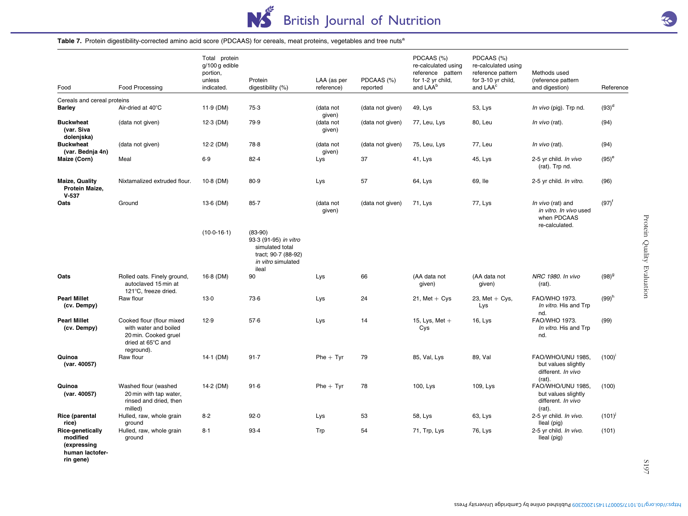

<span id="page-14-0"></span>Table 7. Protein digestibility-corrected amino acid score (PDCAAS) for cereals, meat proteins, vegetables and tree nuts<sup>a</sup>

| Food                                                                               | <b>Food Processing</b>                                                                                        | Total protein<br>g/100 g edible<br>portion,<br>unless<br>indicated. | Protein<br>digestibility (%)                                                                                | LAA (as per<br>reference) | PDCAAS (%)<br>reported | PDCAAS (%)<br>re-calculated using<br>reference pattern<br>for 1-2 yr child,<br>and LAA <sup>b</sup> | PDCAAS (%)<br>re-calculated using<br>reference pattern<br>for 3-10 yr child,<br>and LAA <sup>c</sup> | Methods used<br>(reference pattern<br>and digestion)                         | Reference           |
|------------------------------------------------------------------------------------|---------------------------------------------------------------------------------------------------------------|---------------------------------------------------------------------|-------------------------------------------------------------------------------------------------------------|---------------------------|------------------------|-----------------------------------------------------------------------------------------------------|------------------------------------------------------------------------------------------------------|------------------------------------------------------------------------------|---------------------|
| Cereals and cereal proteins                                                        |                                                                                                               |                                                                     |                                                                                                             |                           |                        |                                                                                                     |                                                                                                      |                                                                              |                     |
| <b>Barley</b>                                                                      | Air-dried at 40°C                                                                                             | $11.9$ (DM)                                                         | 75.3                                                                                                        | (data not<br>given)       | (data not given)       | 49, Lys                                                                                             | 53, Lys                                                                                              | In vivo (pig). Trp nd.                                                       | $(93)^d$            |
| <b>Buckwheat</b><br>(var. Siva<br>dolenjska)                                       | (data not given)                                                                                              | $12.3$ (DM)                                                         | 79.9                                                                                                        | (data not<br>given)       | (data not given)       | 77, Leu, Lys                                                                                        | 80, Leu                                                                                              | In vivo (rat).                                                               | (94)                |
| <b>Buckwheat</b><br>(var. Bednja 4n)                                               | (data not given)                                                                                              | 12-2 (DM)                                                           | 78.8                                                                                                        | (data not<br>given)       | (data not given)       | 75, Leu, Lys                                                                                        | 77, Leu                                                                                              | In vivo (rat).                                                               | (94)                |
| Maize (Corn)                                                                       | Meal                                                                                                          | 6.9                                                                 | 82.4                                                                                                        | Lys                       | 37                     | 41, Lys                                                                                             | 45, Lys                                                                                              | 2-5 yr child. In vivo<br>(rat). Trp nd.                                      | $(95)$ <sup>e</sup> |
| <b>Maize, Quality</b><br>Protein Maize,<br>$V - 537$                               | Nixtamalized extruded flour.                                                                                  | $10.8$ (DM)                                                         | 80.9                                                                                                        | Lys                       | 57                     | 64, Lys                                                                                             | 69, Ile                                                                                              | 2-5 yr child. In vitro.                                                      | (96)                |
| Oats                                                                               | Ground                                                                                                        | 13-6 (DM)                                                           | $85 - 7$                                                                                                    | (data not<br>given)       | (data not given)       | 71, Lys                                                                                             | 77, Lys                                                                                              | In vivo (rat) and<br>in vitro. In vivo used<br>when PDCAAS<br>re-calculated. | $(97)^{t}$          |
|                                                                                    |                                                                                                               | $(10.0 - 16.1)$                                                     | $(83-90)$<br>93-3 (91-95) in vitro<br>simulated total<br>tract; 90.7 (88-92)<br>in vitro simulated<br>ileal |                           |                        |                                                                                                     |                                                                                                      |                                                                              |                     |
| Oats                                                                               | Rolled oats. Finely ground,<br>autoclaved 15 min at<br>121°C, freeze dried.                                   | $16.8$ (DM)                                                         | 90                                                                                                          | Lys                       | 66                     | (AA data not<br>given)                                                                              | (AA data not<br>given)                                                                               | NRC 1980. In vivo<br>(rat).                                                  | $(98)^{9}$          |
| <b>Pearl Millet</b><br>(cv. Dempy)                                                 | Raw flour                                                                                                     | $13-0$                                                              | 73.6                                                                                                        | Lys                       | 24                     | 21, Met $+$ Cys                                                                                     | 23, Met $+$ Cys,<br>Lys                                                                              | FAO/WHO 1973.<br>In vitro. His and Trp<br>nd.                                | $(99)^h$            |
| <b>Pearl Millet</b><br>(cv. Dempy)                                                 | Cooked flour (flour mixed<br>with water and boiled<br>20 min. Cooked gruel<br>dried at 65°C and<br>reground). | 12.9                                                                | 57.6                                                                                                        | Lys                       | 14                     | 15, Lys, Met $+$<br>Cys                                                                             | 16, Lys                                                                                              | FAO/WHO 1973.<br>In vitro. His and Trp<br>nd.                                | (99)                |
| Quinoa<br>(var. 40057)                                                             | Raw flour                                                                                                     | 14-1 (DM)                                                           | 91.7                                                                                                        | $Phe + Tyr$               | 79                     | 85, Val, Lys                                                                                        | 89, Val                                                                                              | FAO/WHO/UNU 1985,<br>but values slightly<br>different. In vivo<br>$(rat)$ .  | $(100)^{1}$         |
| Quinoa<br>(var. 40057)                                                             | Washed flour (washed<br>20 min with tap water,<br>rinsed and dried, then<br>milled)                           | 14-2 (DM)                                                           | 91.6                                                                                                        | $Phe + Tyr$               | 78                     | 100, Lys                                                                                            | 109, Lys                                                                                             | FAO/WHO/UNU 1985,<br>but values slightly<br>different. In vivo<br>$(rat)$ .  | (100)               |
| Rice (parental<br>rice)                                                            | Hulled, raw, whole grain<br>ground                                                                            | $8-2$                                                               | 92.0                                                                                                        | Lys                       | 53                     | 58, Lys                                                                                             | 63, Lys                                                                                              | 2-5 yr child. In vivo.<br>lleal (pig)                                        | $(101)^{j}$         |
| <b>Rice-genetically</b><br>modified<br>(expressing<br>human lactofer-<br>rin gene) | Hulled, raw, whole grain<br>ground                                                                            | $8-1$                                                               | 93.4                                                                                                        | Trp                       | 54                     | 71, Trp, Lys                                                                                        | 76, Lys                                                                                              | 2-5 yr child. In vivo.<br>lleal (pig)                                        | (101)               |

 $2197$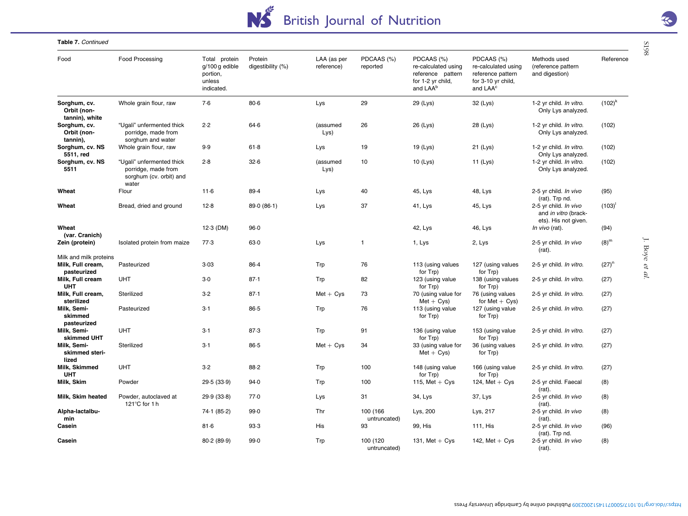

#### Table 7. Continued

| Food                                                       | Food Processing                                                                      | Total protein<br>g/100 g edible<br>portion,<br>unless<br>indicated. | Protein<br>digestibility (%) | LAA (as per<br>reference) | PDCAAS (%)<br>reported   | PDCAAS (%)<br>re-calculated using<br>reference pattern<br>for 1-2 yr child,<br>and LAA <sup>b</sup> | PDCAAS (%)<br>re-calculated using<br>reference pattern<br>for 3-10 yr child,<br>and LAA <sup>c</sup> | Methods used<br>(reference pattern<br>and digestion)                  | Reference   |
|------------------------------------------------------------|--------------------------------------------------------------------------------------|---------------------------------------------------------------------|------------------------------|---------------------------|--------------------------|-----------------------------------------------------------------------------------------------------|------------------------------------------------------------------------------------------------------|-----------------------------------------------------------------------|-------------|
| Sorghum, cv.<br>Orbit (non-<br>tannin), white              | Whole grain flour, raw                                                               | 7.6                                                                 | 80.6                         | Lys                       | 29                       | 29 (Lys)                                                                                            | 32 (Lys)                                                                                             | 1-2 yr child. In vitro.<br>Only Lys analyzed.                         | $(102)^k$   |
| Sorghum, cv.<br>Orbit (non-<br>tannin),                    | "Ugali" unfermented thick<br>porridge, made from<br>sorghum and water                | 2.2                                                                 | $64-6$                       | (assumed<br>Lys)          | 26                       | 26 (Lys)                                                                                            | 28 (Lys)                                                                                             | 1-2 yr child. In vitro.<br>Only Lys analyzed.                         | (102)       |
| Sorghum, cv. NS<br>5511, red                               | Whole grain flour, raw                                                               | 9.9                                                                 | 61.8                         | Lys                       | 19                       | 19 (Lys)                                                                                            | 21 (Lys)                                                                                             | 1-2 yr child. In vitro.<br>Only Lys analyzed.                         | (102)       |
| Sorghum, cv. NS<br>5511                                    | "Ugali" unfermented thick<br>porridge, made from<br>sorghum (cv. orbit) and<br>water | 2.8                                                                 | 32.6                         | (assumed<br>Lys)          | 10                       | 10 (Lys)                                                                                            | 11 (Lys)                                                                                             | 1-2 yr child. In vitro.<br>Only Lys analyzed.                         | (102)       |
| Wheat                                                      | Flour                                                                                | 11.6                                                                | 89.4                         | Lys                       | 40                       | 45, Lys                                                                                             | 48, Lys                                                                                              | 2-5 yr child. In vivo<br>(rat). Trp nd.                               | (95)        |
| Wheat                                                      | Bread, dried and ground                                                              | 12.8                                                                | 89.0 (86.1)                  | Lys                       | 37                       | 41, Lys                                                                                             | 45, Lys                                                                                              | 2-5 yr child. In vivo<br>and in vitro (brack-<br>ets). His not given. | $(103)^{1}$ |
| Wheat<br>(var. Cranich)                                    |                                                                                      | 12-3 (DM)                                                           | $96-0$                       |                           |                          | 42, Lys                                                                                             | 46, Lys                                                                                              | In vivo (rat).                                                        | (94)        |
| Zein (protein)                                             | Isolated protein from maize                                                          | 77.3                                                                | 63.0                         | Lys                       | $\overline{1}$           | 1, Lys                                                                                              | 2, Lys                                                                                               | 2-5 yr child. In vivo<br>$(rat)$ .                                    | $(8)^m$     |
| Milk and milk proteins<br>Milk, Full cream,<br>pasteurized | Pasteurized                                                                          | 3.03                                                                | 86.4                         | Trp                       | 76                       | 113 (using values<br>for Trp)                                                                       | 127 (using values<br>for Trp)                                                                        | 2-5 yr child. In vitro.                                               | $(27)^n$    |
| Milk, Full cream<br><b>UHT</b>                             | <b>UHT</b>                                                                           | $3-0$                                                               | 87.1                         | Trp                       | 82                       | 123 (using value<br>for Trp)                                                                        | 138 (using values<br>for Trp)                                                                        | 2-5 yr child. In vitro.                                               | (27)        |
| Milk, Full cream,<br>sterilized                            | Sterilized                                                                           | $3-2$                                                               | 87.1                         | $Met + Cys$               | 73                       | 70 (using value for<br>$Met + Cys)$                                                                 | 76 (using values<br>for Met $+$ Cys)                                                                 | 2-5 yr child. In vitro.                                               | (27)        |
| Milk, Semi-<br>skimmed<br>pasteurized                      | Pasteurized                                                                          | $3-1$                                                               | $86 - 5$                     | Trp                       | 76                       | 113 (using value<br>for Trp)                                                                        | 127 (using value<br>for Trp)                                                                         | 2-5 yr child. In vitro.                                               | (27)        |
| Milk, Semi-<br>skimmed UHT                                 | <b>UHT</b>                                                                           | $3-1$                                                               | 87.3                         | Trp                       | 91                       | 136 (using value<br>for Trp)                                                                        | 153 (using value<br>for Trp)                                                                         | 2-5 yr child. In vitro.                                               | (27)        |
| Milk, Semi-<br>skimmed steri-<br>lized                     | Sterilized                                                                           | $3-1$                                                               | $86 - 5$                     | $Met + Cys$               | 34                       | 33 (using value for<br>$Met + Cys)$                                                                 | 36 (using values<br>for Trp)                                                                         | 2-5 yr child. In vitro.                                               | (27)        |
| Milk, Skimmed<br><b>UHT</b>                                | <b>UHT</b>                                                                           | $3-2$                                                               | 88.2                         | Trp                       | 100                      | 148 (using value<br>for Trp)                                                                        | 166 (using value<br>for Trp)                                                                         | 2-5 yr child. In vitro.                                               | (27)        |
| Milk, Skim                                                 | Powder                                                                               | 29.5 (33.9)                                                         | 94.0                         | Trp                       | 100                      | 115, Met $+$ Cys                                                                                    | 124, Met $+$ Cys                                                                                     | 2-5 yr child. Faecal<br>$(rat)$ .                                     | (8)         |
| Milk, Skim heated                                          | Powder, autoclaved at<br>121 $\degree$ C for 1 h                                     | 29.9(33.8)                                                          | 77.0                         | Lys                       | 31                       | 34, Lys                                                                                             | 37, Lys                                                                                              | 2-5 yr child. In vivo<br>$(rat)$ .                                    | (8)         |
| Alpha-lactalbu-<br>min                                     |                                                                                      | 74-1 (85-2)                                                         | 99.0                         | Thr                       | 100 (166<br>untruncated) | Lys, 200                                                                                            | Lys, 217                                                                                             | 2-5 yr child. In vivo<br>$(rat)$ .                                    | (8)         |
| Casein                                                     |                                                                                      | $81 - 6$                                                            | 93.3                         | His                       | 93                       | 99, His                                                                                             | 111, His                                                                                             | 2-5 yr child. In vivo<br>(rat). Trp nd.                               | (96)        |
| Casein                                                     |                                                                                      | 80.2(89.9)                                                          | 99.0                         | Trp                       | 100 (120<br>untruncated) | 131, Met $+$ Cys                                                                                    | 142, Met $+$ Cys                                                                                     | 2-5 yr child. In vivo<br>$(rat)$ .                                    | (8)         |



86IS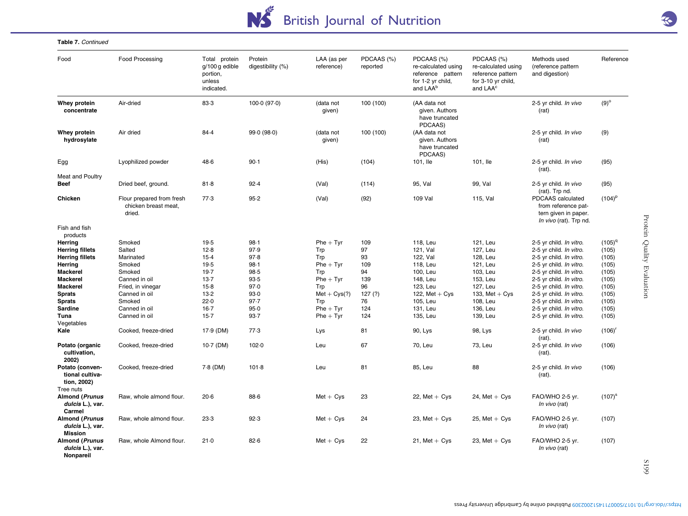

#### Table 7. Continued

| Food                                                                                                                                                                                                                                                                                           | Food Processing                                                                                                                                                                                                              | Total protein<br>g/100 g edible<br>portion,<br>unless<br>indicated.                                                                      | Protein<br>digestibility (%)                                                                                   | LAA (as per<br>reference)                                                                                                                         | PDCAAS (%)<br>reported                                                                    | PDCAAS (%)<br>re-calculated using<br>reference pattern<br>for 1-2 yr child,<br>and LAA <sup>b</sup>                                                                       | PDCAAS (%)<br>re-calculated using<br>reference pattern<br>for 3-10 yr child,<br>and LAA <sup>c</sup>                                                                 | Methods used<br>(reference pattern<br>and digestion)                                                                                                                                                                                                                                                                                                                                                       | Reference                                                                                                                              |
|------------------------------------------------------------------------------------------------------------------------------------------------------------------------------------------------------------------------------------------------------------------------------------------------|------------------------------------------------------------------------------------------------------------------------------------------------------------------------------------------------------------------------------|------------------------------------------------------------------------------------------------------------------------------------------|----------------------------------------------------------------------------------------------------------------|---------------------------------------------------------------------------------------------------------------------------------------------------|-------------------------------------------------------------------------------------------|---------------------------------------------------------------------------------------------------------------------------------------------------------------------------|----------------------------------------------------------------------------------------------------------------------------------------------------------------------|------------------------------------------------------------------------------------------------------------------------------------------------------------------------------------------------------------------------------------------------------------------------------------------------------------------------------------------------------------------------------------------------------------|----------------------------------------------------------------------------------------------------------------------------------------|
| Whey protein<br>concentrate                                                                                                                                                                                                                                                                    | Air-dried                                                                                                                                                                                                                    | 83-3                                                                                                                                     | 100.0 (97.0)                                                                                                   | (data not<br>given)                                                                                                                               | 100 (100)                                                                                 | (AA data not<br>given. Authors<br>have truncated                                                                                                                          |                                                                                                                                                                      | 2-5 yr child. In vivo<br>(rat)                                                                                                                                                                                                                                                                                                                                                                             | $(9)^{\circ}$                                                                                                                          |
| Whey protein<br>hydrosylate                                                                                                                                                                                                                                                                    | Air dried                                                                                                                                                                                                                    | 84.4                                                                                                                                     | 99.0 (98.0)                                                                                                    | (data not<br>given)                                                                                                                               | 100 (100)                                                                                 | PDCAAS)<br>(AA data not<br>given. Authors<br>have truncated<br>PDCAAS)                                                                                                    |                                                                                                                                                                      | 2-5 yr child. In vivo<br>(rat)                                                                                                                                                                                                                                                                                                                                                                             | (9)                                                                                                                                    |
| Egg                                                                                                                                                                                                                                                                                            | Lyophilized powder                                                                                                                                                                                                           | 48.6                                                                                                                                     | $90-1$                                                                                                         | (His)                                                                                                                                             | (104)                                                                                     | 101, Ile                                                                                                                                                                  | 101, Ile                                                                                                                                                             | 2-5 yr child. In vivo<br>$(rat)$ .                                                                                                                                                                                                                                                                                                                                                                         | (95)                                                                                                                                   |
| Meat and Poultry<br><b>Beef</b>                                                                                                                                                                                                                                                                | Dried beef, ground.                                                                                                                                                                                                          | 81.8                                                                                                                                     | 92.4                                                                                                           | (Val)                                                                                                                                             | (114)                                                                                     | 95, Val                                                                                                                                                                   | 99, Val                                                                                                                                                              | 2-5 yr child. In vivo<br>(rat). Trp nd.                                                                                                                                                                                                                                                                                                                                                                    | (95)                                                                                                                                   |
| Chicken                                                                                                                                                                                                                                                                                        | Flour prepared from fresh<br>chicken breast meat,<br>dried.                                                                                                                                                                  | 77.3                                                                                                                                     | 95.2                                                                                                           | (Val)                                                                                                                                             | (92)                                                                                      | 109 Val                                                                                                                                                                   | 115, Val                                                                                                                                                             | PDCAAS calculated<br>from reference pat-<br>tern given in paper.<br>In vivo (rat). Trp nd.                                                                                                                                                                                                                                                                                                                 | $(104)^p$                                                                                                                              |
| Fish and fish<br>products                                                                                                                                                                                                                                                                      |                                                                                                                                                                                                                              |                                                                                                                                          |                                                                                                                |                                                                                                                                                   |                                                                                           |                                                                                                                                                                           |                                                                                                                                                                      |                                                                                                                                                                                                                                                                                                                                                                                                            |                                                                                                                                        |
| <b>Herring</b><br><b>Herring fillets</b><br><b>Herring fillets</b><br><b>Herring</b><br><b>Mackerel</b><br><b>Mackerel</b><br><b>Mackerel</b><br><b>Sprats</b><br><b>Sprats</b><br><b>Sardine</b><br>Tuna<br>Vegetables<br>Kale<br>Potato (organic<br>cultivation,<br>2002)<br>Potato (conven- | Smoked<br>Salted<br>Marinated<br>Smoked<br>Smoked<br>Canned in oil<br>Fried, in vinegar<br>Canned in oil<br>Smoked<br>Canned in oil<br>Canned in oil<br>Cooked, freeze-dried<br>Cooked, freeze-dried<br>Cooked, freeze-dried | 19.5<br>12.8<br>$15-4$<br>19.5<br>19.7<br>13.7<br>$15-8$<br>$13-2$<br>22.0<br>$16-7$<br>$15-7$<br>17.9 (DM)<br>$10.7$ (DM)<br>$7.8$ (DM) | 98.1<br>97.9<br>97.8<br>98.1<br>98.5<br>93.5<br>97.0<br>93.0<br>97.7<br>95.0<br>93.7<br>77.3<br>102.0<br>101.8 | $Phe + Tyr$<br>Trp<br>Trp<br>$Phe + Tvr$<br>Trp<br>$Phe + Tvr$<br>Trp<br>$Met + Cys(?)$<br>Trp<br>$Phe + Tyr$<br>$Phe + Tyr$<br>Lys<br>Leu<br>Leu | 109<br>97<br>93<br>109<br>94<br>139<br>96<br>127(?)<br>76<br>124<br>124<br>81<br>67<br>81 | 118, Leu<br>121, Val<br>122, Val<br>118, Leu<br>100, Leu<br>148, Leu<br>123, Leu<br>122, Met $+ Cys$<br>105, Leu<br>131, Leu<br>135, Leu<br>90, Lys<br>70, Leu<br>85, Leu | 121, Leu<br>127, Leu<br>128, Leu<br>121, Leu<br>103, Leu<br>153, Leu<br>127, Leu<br>133, Met $+$ Cys<br>108, Leu<br>136, Leu<br>139, Leu<br>98, Lys<br>73, Leu<br>88 | 2-5 yr child. In vitro.<br>2-5 yr child. In vitro.<br>2-5 yr child. In vitro.<br>2-5 yr child. In vitro.<br>2-5 yr child. In vitro.<br>2-5 yr child. In vitro.<br>2-5 yr child. In vitro.<br>2-5 yr child. In vitro.<br>2-5 yr child. In vitro.<br>2-5 yr child. In vitro.<br>2-5 yr child. In vitro.<br>2-5 yr child. In vivo<br>$(rat)$ .<br>2-5 yr child. In vivo<br>$(rat)$ .<br>2-5 yr child. In vivo | $(105)^{q}$<br>(105)<br>(105)<br>(105)<br>(105)<br>(105)<br>(105)<br>(105)<br>(105)<br>(105)<br>(105)<br>$(106)^{r}$<br>(106)<br>(106) |
| tional cultiva-<br>tion, 2002)<br>Tree nuts                                                                                                                                                                                                                                                    |                                                                                                                                                                                                                              |                                                                                                                                          |                                                                                                                |                                                                                                                                                   |                                                                                           |                                                                                                                                                                           |                                                                                                                                                                      | $(rat)$ .                                                                                                                                                                                                                                                                                                                                                                                                  |                                                                                                                                        |
| <b>Almond (Prunus</b><br>dulcis L.), var.<br>Carmel                                                                                                                                                                                                                                            | Raw, whole almond flour.                                                                                                                                                                                                     | 20.6                                                                                                                                     | $88 - 6$                                                                                                       | $Met + Cys$                                                                                                                                       | 23                                                                                        | 22, Met $+$ Cys                                                                                                                                                           | 24, Met $+$ Cys                                                                                                                                                      | FAO/WHO 2-5 yr.<br>In vivo (rat)                                                                                                                                                                                                                                                                                                                                                                           | $(107)^{s}$                                                                                                                            |
| <b>Almond (Prunus</b><br>dulcis L.), var.<br><b>Mission</b>                                                                                                                                                                                                                                    | Raw, whole almond flour.                                                                                                                                                                                                     | 23.3                                                                                                                                     | 92.3                                                                                                           | $Met + Cys$                                                                                                                                       | 24                                                                                        | 23, Met $+$ Cys                                                                                                                                                           | 25, Met $+$ Cys                                                                                                                                                      | FAO/WHO 2-5 yr.<br>In vivo (rat)                                                                                                                                                                                                                                                                                                                                                                           | (107)                                                                                                                                  |
| Almond (Prunus<br>dulcis L.), var.<br>Nonpareil                                                                                                                                                                                                                                                | Raw, whole Almond flour.                                                                                                                                                                                                     | 21.0                                                                                                                                     | 82.6                                                                                                           | $Met + Cvs$                                                                                                                                       | 22                                                                                        | 21, Met $+$ Cys                                                                                                                                                           | 23, Met $+$ Cys                                                                                                                                                      | FAO/WHO 2-5 yr.<br>In vivo (rat)                                                                                                                                                                                                                                                                                                                                                                           | (107)                                                                                                                                  |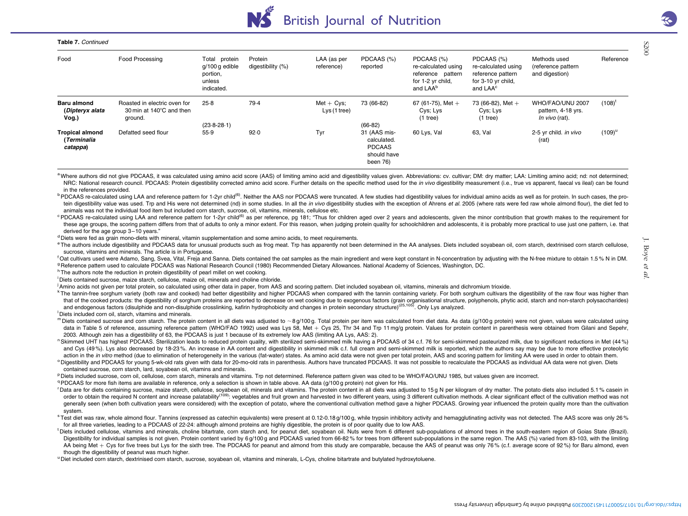## NS British Journal of Nutrition

#### Table 7. Continued

| Food                                              | <b>Food Processing</b>                                              | Total protein<br>g/100 g edible<br>portion,<br>unless<br>indicated. | Protein<br>digestibility (%) | LAA (as per<br>reference)     | PDCAAS (%)<br>reported                                                               | PDCAAS (%)<br>re-calculated using<br>reference pattern<br>for 1-2 yr child,<br>and LAA <sup>b</sup> | PDCAAS (%)<br>re-calculated using<br>reference pattern<br>for 3-10 yr child,<br>and LAA <sup>c</sup> | Methods used<br>(reference pattern<br>and digestion)     | Reference   |
|---------------------------------------------------|---------------------------------------------------------------------|---------------------------------------------------------------------|------------------------------|-------------------------------|--------------------------------------------------------------------------------------|-----------------------------------------------------------------------------------------------------|------------------------------------------------------------------------------------------------------|----------------------------------------------------------|-------------|
| <b>Baru almond</b><br>(Dipteryx alata<br>Vog.)    | Roasted in electric oven for<br>30 min at 140°C and then<br>ground. | 25.8                                                                | 79.4                         | $Met + Cvs:$<br>$Lvs(1$ tree) | 73 (66-82)                                                                           | 67 (61-75), Met $+$<br>Cys; Lys<br>$(1$ tree)                                                       | 73 (66-82), Met $+$<br>Cys: Lys<br>$(1$ tree)                                                        | WHO/FAO/UNU 2007<br>pattern, 4-18 yrs.<br>In vivo (rat). | $(108)^t$   |
| <b>Tropical almond</b><br>(Terminalia<br>catappa) | Defatted seed flour                                                 | $(23.8 - 28.1)$<br>55.9                                             | 92.0                         | Tyr                           | $(66-82)$<br>31 (AAS mis-<br>calculated.<br><b>PDCAAS</b><br>should have<br>been 76) | 60 Lys, Val                                                                                         | 63, Val                                                                                              | 2-5 yr child. in vivo<br>(rat)                           | $(109)^{u}$ |

a Where authors did not give PDCAAS, it was calculated using amino acid score (AAS) of limiting amino acid and digestibility values given. Abbreviations: cv. cultivar; DM: dry matter; LAA: Limiting amino acid; nd: not dete NRC: National research council. PDCAAS: Protein digestibility corrected amino acid score. Further details on the specific method used for the in vivo digestibility measurement (i.e., true vs apparent, faecal vs ileal) can in the references provided.

<sup>b</sup> PDCAAS re-calculated using LAA and reference pattern for 1-2vr child<sup>(6)</sup>. Neither the AAS nor PDCAAS were truncated. A few studies had digestibility values for individual amino acids as well as for protein. In such ca tein digestibility value was used. Trp and His were not determined (nd) in some studies. In all the in vivo digestibility studies with the exception of Ahrens et al. 2005 (where rats were fed raw whole almond flour), the d animals was not the individual food item but included corn starch, sucrose, oil, vitamins, minerals, cellulose etc.

 $c$ PDCAAS re-calculated using LAA and reference pattern for 1-2yr child<sup>(6)</sup> as per reference, pg 181; "Thus for children aged over 2 years and adolescents, given the minor contribution that growth makes to the requiremen these age groups, the scoring pattern differs from that of adults to only a minor extent. For this reason, when judging protein quality for schoolchildren and adolescents, it is probably more practical to use just one patt derived for the age group 3–10 years."

<sup>d</sup> Diets were fed as grain mono-diets with mineral, vitamin supplementation and some amino acids, to meet requirements.

e The authors include digestibility and PDCAAS data for unusual products such as frog meat. Trp has apparently not been determined in the AA analyses. Diets included soyabean oil, corn starch, dextrinised corn starch cellu sucrose, vitamins and minerals. The article is in Portuguese.

<sup>1</sup>Oat cultivars used were Adamo, Sang, Svea, Vital, Freja and Sanna. Diets contained the oat samples as the main ingredient and were kept constant in N-concentration by adjusting with the N-free mixture to obtain 1.5% N i g Reference pattern used to calculate PDCAAS was National Research Council (1980) Recommended Dietary Allowances. National Academy of Sciences, Washington, DC.

<sup>h</sup> The authors note the reduction in protein digestibility of pearl millet on wet cooking.

i Diets contained sucrose, maize starch, cellulose, maize oil, minerals and choline chloride.

<sup>j</sup> Amino acids not given per total protein, so calculated using other data in paper, from AAS and scoring pattern. Diet included soyabean oil, vitamins, minerals and dichromium trioxide.

<sup>k</sup>The tannin-free sorghum variety (both raw and cooked) had better digestibility and higher PDCAAS when compared with the tannin containing variety. For both sorghum cultivars the digestibility of the raw flour was higher that of the cooked products: the digestibility of sorghum proteins are reported to decrease on wet cooking due to exogenous factors (grain organisational structure, polyphenols, phytic acid, starch and non-starch polysacch and endogenous factors (disulphide and non-disulphide crosslinking, kafirin hydrophobicity and changes in protein secondary structure)<sup>(25,105)</sup>. Only Lys analyzed.

Diets included corn oil, starch, vitamins and minerals.

m Diets contained sucrose and corn starch. The protein content in all diets was adjusted to ~8g/100g. Total protein per item was calculated from diet data. As data (g/100g protein) were not given, values were calculated u data in Table 5 of reference, assuming reference pattern (WHO/FAO 1992) used was Lys 58, Met  $+$  Cys 25, Thr 34 and Trp 11 mg/g protein. Values for protein content in parenthesis were obtained from Gilani and Sepehr, 2003. Although zein has <sup>a</sup> digestibility of 63, the PDCAAS is just 1 because of its extremely low AAS (limiting AA Lys, AAS: 2).

n Skimmed UHT has highest PDCAAS. Sterilization leads to reduced protein quality, with sterilized semi-skimmed milk having a PDCAAS of 34 c.f. 76 for semi-skimmed pasteurized milk, due to significant reductions in Met (44 and Cys (49%). Lys also decreased by 18-23%. An increase in AA content and digestibility in skimmed milk c.f. full cream and semi-skimmed milk is reported, which the authors say may be due to more effective proteolytic action in the in vitro method (due to elimination of heterogeneity in the various (fat-water) states. As amino acid data were not given per total protein, AAS and scoring pattern for limiting AA were used in order to obtai

° Digestibility and PDCAAS for young 5-wk-old rats given with data for 20-mo-old rats in parenthesis. Authors have truncated PDCAAS. It was not possible to recalculate the PDCAAS as individual AA data were not given. Diets contained sucrose, corn starch, lard, soyabean oil, vitamins and minerals.

P Diets included sucrose, corn oil, cellulose, corn starch, minerals and vitamins. Trp not determined. Reference pattern given was cited to be WHO/FAO/UNU 1985, but values given are incorrect.

<sup>q</sup>PDCAAS for more fish items are available in reference, only a selection is shown in table above. AA data (g/100 g protein) not given for His.

<sup>r</sup>Data are for diets containing sucrose, maize starch, cellulose, soyabean oil, minerals and vitamins. The protein content in all diets was adjusted to 15g N per kilogram of dry matter. The potato diets also included 5.1% order to obtain the required N content and increase palatability<sup>(109)</sup>: vegetables and fruit grown and harvested in two different years, using 3 different cultivation methods. A clear significant effect of the cultivation generally seen (when both cultivation years were considered) with the exception of potato, where the conventional cultivation method gave a higher PDCAAS. Growing year influenced the protein quality more than the cultivati system.

 $^\circ$  Test diet was raw, whole almond flour. Tannins (expressed as catechin equivalents) were present at 0.12-0.18g/100g, while trypsin inhibitory activity and hemagglutinating activity was not detected. The AAS score was for all three varieties, leading to <sup>a</sup> PDCAAS of 22-24: although almond proteins are highly digestible, the protein is of poor quality due to low AAS.

<sup>t</sup>Diets included cellulose, vitamins and minerals, choline bitartrate, corn starch and, for peanut diet, soyabean oil. Nuts were from 6 different sub-populations of almond trees in the south-eastern region of Goias State Digestibility for individual samples is not given. Protein content varied by 6 o/100 g and PDCAAS varied from 66-82% for trees from different sub-populations in the same region. The AAS (%) varied from 83-103, with the lim AA being Met + Cys for five trees but Lys for the sixth tree. The PDCAAS for peanut and almond from this study are comparable, because the AAS of peanut was only 76% (c.f. average score of 92%) for Baru almond, even though the digestibility of peanut was much higher.

<sup>u</sup> Diet included corn starch, dextrinised corn starch, sucrose, soyabean oil, vitamins and minerals, L-Cys, choline bitartrate and butylated hydroxytoluene.

220C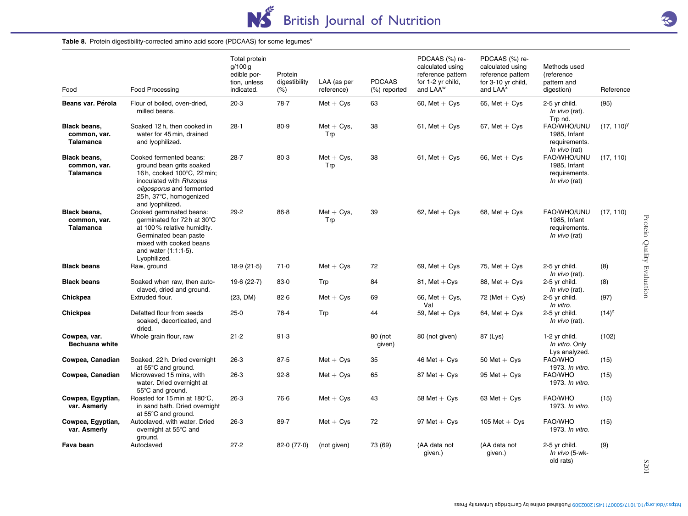

Table 8. Protein digestibility-corrected amino acid score (PDCAAS) for some legumes

| Food                                                    | Food Processing                                                                                                                                                                           | Total protein<br>g/100 g<br>edible por-<br>tion, unless<br>indicated. | Protein<br>digestibility<br>(%) | LAA (as per<br>reference) | <b>PDCAAS</b><br>(%) reported | PDCAAS (%) re-<br>calculated using<br>reference pattern<br>for 1-2 yr child,<br>and LAA <sup>w</sup> | PDCAAS (%) re-<br>calculated using<br>reference pattern<br>for 3-10 yr child,<br>and LAA <sup>x</sup> | Methods used<br>(reference<br>pattern and<br>digestion)       | Reference     |
|---------------------------------------------------------|-------------------------------------------------------------------------------------------------------------------------------------------------------------------------------------------|-----------------------------------------------------------------------|---------------------------------|---------------------------|-------------------------------|------------------------------------------------------------------------------------------------------|-------------------------------------------------------------------------------------------------------|---------------------------------------------------------------|---------------|
| Beans var. Pérola                                       | Flour of boiled, oven-dried,<br>milled beans.                                                                                                                                             | 20.3                                                                  | 78.7                            | $Met + Cys$               | 63                            | 60, Met $+$ Cys                                                                                      | 65, Met $+$ Cys                                                                                       | 2-5 yr child.<br>In vivo (rat).<br>Trp nd.                    | (95)          |
| <b>Black beans,</b><br>common, var.<br>Talamanca        | Soaked 12 h, then cooked in<br>water for 45 min, drained<br>and lyophilized.                                                                                                              | $28 - 1$                                                              | 80.9                            | $Met + Cys,$<br>Trp       | 38                            | 61, Met $+$ Cys                                                                                      | 67, Met $+$ Cys                                                                                       | FAO/WHO/UNU<br>1985. Infant<br>requirements.<br>In vivo (rat) | $(17, 110)^y$ |
| <b>Black beans,</b><br>common, var.<br>Talamanca        | Cooked fermented beans:<br>ground bean grits soaked<br>16 h, cooked 100°C, 22 min;<br>inoculated with Rhzopus<br>oligosporus and fermented<br>25 h, 37°C, homogenized<br>and lyophilized. | 28.7                                                                  | $80-3$                          | $Met + Cys,$<br>Trp       | 38                            | 61, Met $+$ Cys                                                                                      | 66, Met $+$ Cys                                                                                       | FAO/WHO/UNU<br>1985, Infant<br>requirements.<br>In vivo (rat) | (17, 110)     |
| <b>Black beans,</b><br>common, var.<br><b>Talamanca</b> | Cooked germinated beans:<br>germinated for 72h at 30°C<br>at 100% relative humidity.<br>Germinated bean paste<br>mixed with cooked beans<br>and water $(1:1:1.5)$ .<br>Lyophilized.       | 29.2                                                                  | $86 - 8$                        | $Met + Cys,$<br>Trp       | 39                            | 62, Met $+$ Cys                                                                                      | 68, Met $+$ Cys                                                                                       | FAO/WHO/UNU<br>1985, Infant<br>requirements.<br>In vivo (rat) | (17, 110)     |
| <b>Black beans</b>                                      | Raw, ground                                                                                                                                                                               | 18.9(21.5)                                                            | 71.0                            | $Met + Cys$               | 72                            | 69, Met $+$ Cys                                                                                      | 75, Met $+$ Cys                                                                                       | 2-5 yr child.<br>In vivo (rat).                               | (8)           |
| <b>Black beans</b>                                      | Soaked when raw, then auto-<br>claved, dried and ground.                                                                                                                                  | 19.6(22.7)                                                            | $83-0$                          | Trp                       | 84                            | 81, Met $+C$ ys                                                                                      | 88, Met $+$ Cys                                                                                       | 2-5 yr child.<br>In vivo (rat).                               | (8)           |
| Chickpea                                                | Extruded flour.                                                                                                                                                                           | (23, DM)                                                              | 82.6                            | $Met + Cys$               | 69                            | 66, Met $+$ Cys,<br>Val                                                                              | 72 (Met $+$ Cys)                                                                                      | 2-5 yr child.<br>In vitro.                                    | (97)          |
| Chickpea                                                | Defatted flour from seeds<br>soaked, decorticated, and<br>dried.                                                                                                                          | 25.0                                                                  | 78.4                            | Trp                       | 44                            | 59, Met $+$ Cys                                                                                      | 64, Met $+$ Cys                                                                                       | 2-5 yr child.<br>In vivo (rat).                               | $(14)^{z}$    |
| Cowpea, var.<br><b>Bechuana white</b>                   | Whole grain flour, raw                                                                                                                                                                    | 21.2                                                                  | 91.3                            |                           | 80 (not<br>given)             | 80 (not given)                                                                                       | 87 (Lys)                                                                                              | 1-2 yr child.<br>In vitro. Only<br>Lys analyzed.              | (102)         |
| Cowpea, Canadian                                        | Soaked, 22 h. Dried overnight<br>at 55°C and ground.                                                                                                                                      | 26.3                                                                  | 87.5                            | $Met + Cvs$               | 35                            | $46$ Met $+$ Cys                                                                                     | 50 Met $+$ Cys                                                                                        | FAO/WHO<br>1973. In vitro.                                    | (15)          |
| Cowpea, Canadian                                        | Microwaved 15 mins, with<br>water. Dried overnight at<br>55°C and ground.                                                                                                                 | 26.3                                                                  | 92.8                            | $Met + Cvs$               | 65                            | 87 Met $+$ Cys                                                                                       | 95 Met $+$ Cys                                                                                        | FAO/WHO<br>1973. In vitro.                                    | (15)          |
| Cowpea, Egyptian,<br>var. Asmerly                       | Roasted for 15 min at 180°C,<br>in sand bath. Dried overnight<br>at 55°C and ground.                                                                                                      | 26.3                                                                  | 76.6                            | $Met + Cys$               | 43                            | 58 Met $+$ Cys                                                                                       | 63 Met $+$ Cys                                                                                        | FAO/WHO<br>1973. In vitro.                                    | (15)          |
| Cowpea, Egyptian,<br>var. Asmerly                       | Autoclaved, with water. Dried<br>overnight at 55°C and<br>ground.                                                                                                                         | 26.3                                                                  | $89 - 7$                        | $Met + Cys$               | 72                            | 97 Met $+$ Cys                                                                                       | 105 Met $+$ Cys                                                                                       | FAO/WHO<br>1973. In vitro.                                    | (15)          |
| Fava bean                                               | Autoclaved                                                                                                                                                                                | 27.2                                                                  | 82.0(77.0)                      | (not given)               | 73 (69)                       | (AA data not<br>given.)                                                                              | (AA data not<br>given.)                                                                               | 2-5 yr child.<br>In vivo (5-wk-<br>old rats)                  | (9)           |

**S201**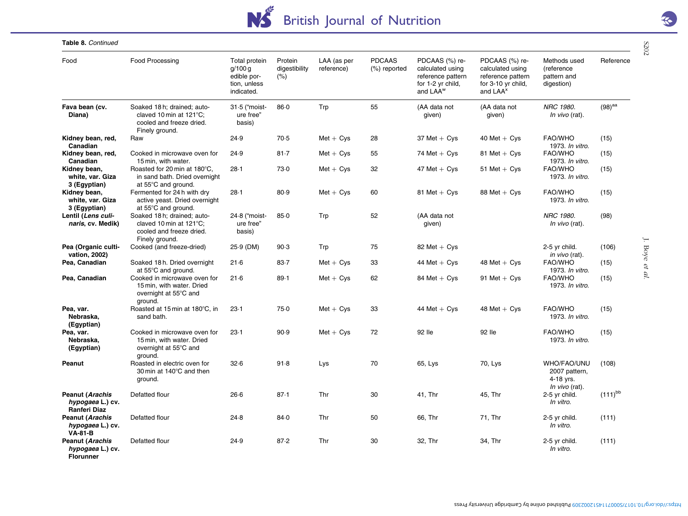

hypogaea L.) cv. Florunner

| Table 8. Continued                                  |                                                                                                                |                                                                      |                                  |                           |                               |                                                                                                      |                                                                                                       |                                                                           |              |
|-----------------------------------------------------|----------------------------------------------------------------------------------------------------------------|----------------------------------------------------------------------|----------------------------------|---------------------------|-------------------------------|------------------------------------------------------------------------------------------------------|-------------------------------------------------------------------------------------------------------|---------------------------------------------------------------------------|--------------|
| Food                                                | <b>Food Processing</b>                                                                                         | Total protein<br>q/100q<br>edible por-<br>tion, unless<br>indicated. | Protein<br>digestibility<br>(% ) | LAA (as per<br>reference) | <b>PDCAAS</b><br>(%) reported | PDCAAS (%) re-<br>calculated using<br>reference pattern<br>for 1-2 yr child,<br>and LAA <sup>w</sup> | PDCAAS (%) re-<br>calculated using<br>reference pattern<br>for 3-10 yr child,<br>and LAA <sup>x</sup> | Methods used<br>(reference<br>pattern and<br>digestion)                   | Reference    |
| Fava bean (cv.<br>Diana)                            | Soaked 18 h; drained; auto-<br>claved 10 min at $121^{\circ}$ C;<br>cooled and freeze dried.<br>Finely ground. | 31.5 ("moist-<br>ure free"<br>basis)                                 | 86.0                             | Trp                       | 55                            | (AA data not<br>given)                                                                               | (AA data not<br>given)                                                                                | NRC 1980.<br>In vivo (rat).                                               | $(98)^{aa}$  |
| Kidnev bean, red,<br>Canadian                       | Raw                                                                                                            | 24.9                                                                 | $70-5$                           | $Met + Cvs$               | 28                            | $37$ Met $+$ Cvs                                                                                     | 40 Met $+$ Cys                                                                                        | <b>FAO/WHO</b><br>1973. In vitro.                                         | (15)         |
| Kidney bean, red,<br>Canadian                       | Cooked in microwave oven for<br>15 min, with water.                                                            | 24.9                                                                 | 81.7                             | $Met + Cys$               | 55                            | 74 Met $+$ Cys                                                                                       | 81 Met $+$ Cys                                                                                        | <b>FAO/WHO</b><br>1973. In vitro.                                         | (15)         |
| Kidney bean,<br>white, var. Giza<br>3 (Egyptian)    | Roasted for 20 min at 180°C,<br>in sand bath. Dried overnight<br>at 55°C and ground.                           | $28-1$                                                               | 73.0                             | $Met + Cys$               | 32                            | $47$ Met $+$ Cys                                                                                     | 51 Met $+$ Cys                                                                                        | <b>FAO/WHO</b><br>1973. In vitro.                                         | (15)         |
| Kidney bean,<br>white, var. Giza<br>3 (Egyptian)    | Fermented for 24 h with dry<br>active yeast. Dried overnight<br>at 55°C and ground.                            | $28 - 1$                                                             | 80.9                             | $Met + Cys$               | 60                            | 81 Met $+$ Cys                                                                                       | 88 Met $+$ Cys                                                                                        | <b>FAO/WHO</b><br>1973. In vitro.                                         | (15)         |
| Lentil (Lens culi-<br>naris, cv. Medik)             | Soaked 18 h; drained; auto-<br>claved 10 min at $121^{\circ}$ C:<br>cooled and freeze dried.<br>Finely ground. | 24.8 ("moist-<br>ure free"<br>basis)                                 | $85 - 0$                         | Trp                       | 52                            | (AA data not<br>given)                                                                               |                                                                                                       | NRC 1980.<br><i>In vivo</i> (rat).                                        | (98)         |
| Pea (Organic culti-<br>vation, 2002)                | Cooked (and freeze-dried)                                                                                      | 25.9 (DM)                                                            | 90.3                             | Trp                       | 75                            | 82 Met $+$ Cys                                                                                       |                                                                                                       | 2-5 yr child.<br>in vivo (rat).                                           | (106)        |
| Pea, Canadian                                       | Soaked 18h. Dried overnight<br>at 55°C and ground.                                                             | $21-6$                                                               | $83 - 7$                         | $Met + Cys$               | 33                            | 44 Met $+$ Cys                                                                                       | 48 Met $+$ Cys                                                                                        | FAO/WHO<br>1973. In vitro.                                                | (15)         |
| Pea, Canadian                                       | Cooked in microwave oven for<br>15 min, with water. Dried<br>overnight at 55°C and<br>ground.                  | 21.6                                                                 | $89 - 1$                         | $Met + Cys$               | 62                            | 84 Met $+$ Cys                                                                                       | 91 Met $+$ Cys                                                                                        | <b>FAO/WHO</b><br>1973. <i>In vitro</i> .                                 | (15)         |
| Pea, var.<br>Nebraska,<br>(Egyptian)                | Roasted at 15 min at 180°C, in<br>sand bath.                                                                   | $23-1$                                                               | 75.0                             | $Met + Cys$               | 33                            | 44 Met $+$ Cys                                                                                       | 48 Met $+$ Cys                                                                                        | FAO/WHO<br>1973. In vitro.                                                | (15)         |
| Pea, var.<br>Nebraska,<br>(Egyptian)                | Cooked in microwave oven for<br>15 min, with water. Dried<br>overnight at 55°C and<br>ground.                  | $23-1$                                                               | 90.9                             | $Met + Cys$               | 72                            | 92 lle                                                                                               | 92 lle                                                                                                | <b>FAO/WHO</b><br>1973. In vitro.                                         | (15)         |
| Peanut                                              | Roasted in electric oven for<br>30 min at 140°C and then<br>ground.                                            | 32.6                                                                 | 91.8                             | Lys                       | 70                            | 65, Lys                                                                                              | 70, Lys                                                                                               | <b>WHO/FAO/UNU</b><br>2007 pattern,<br>4-18 yrs.<br><i>In vivo</i> (rat). | (108)        |
| Peanut (Arachis<br>hypogaea L.) cv.<br>Ranferi Diaz | Defatted flour                                                                                                 | $26-6$                                                               | 87.1                             | Thr                       | 30                            | 41, Thr                                                                                              | 45, Thr                                                                                               | 2-5 yr child.<br>In vitro.                                                | $(111)^{bb}$ |
| Peanut (Arachis<br>hypogaea L.) cv.<br>$VA-81-B$    | Defatted flour                                                                                                 | 24.8                                                                 | 84.0                             | Thr                       | 50                            | 66, Thr                                                                                              | 71, Thr                                                                                               | 2-5 yr child.<br>In vitro.                                                | (111)        |
| Peanut (Arachis                                     | Defatted flour                                                                                                 | 24.9                                                                 | 87.2                             | Thr                       | 30                            | 32. Thr                                                                                              | 34. Thr                                                                                               | 2-5 yr child.                                                             | (111)        |

Published online by Capabria by Capabria by Cambridge University Press

In vitro.

 $\overline{\textbf{c}}$ 

S202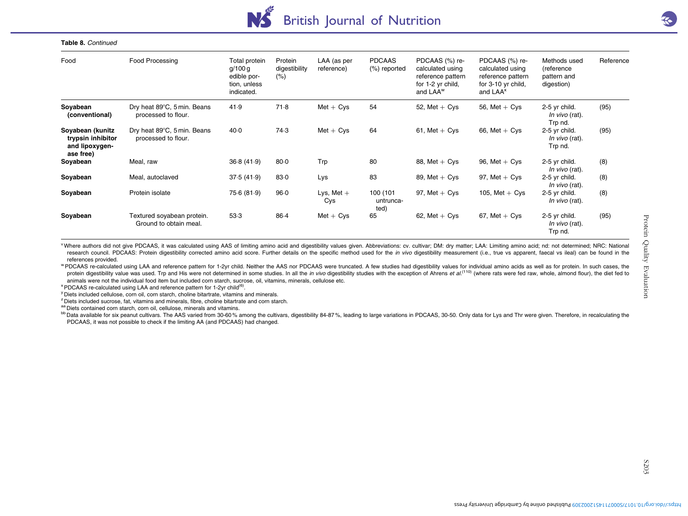

#### Table 8. Continued

| Food                                                                 | Food Processing                                      | Total protein<br>g/100 g<br>edible por-<br>tion, unless<br>indicated. | Protein<br>digestibility<br>(% ) | LAA (as per<br>reference) | <b>PDCAAS</b><br>$(\%)$ reported | PDCAAS (%) re-<br>calculated using<br>reference pattern<br>for 1-2 yr child,<br>and LAA <sup>w</sup> | PDCAAS (%) re-<br>calculated using<br>reference pattern<br>for 3-10 yr child,<br>and LAA <sup>x</sup> | Methods used<br>(reference<br>pattern and<br>digestion) | Reference |
|----------------------------------------------------------------------|------------------------------------------------------|-----------------------------------------------------------------------|----------------------------------|---------------------------|----------------------------------|------------------------------------------------------------------------------------------------------|-------------------------------------------------------------------------------------------------------|---------------------------------------------------------|-----------|
| Soyabean<br>(conventional)                                           | Dry heat 89°C, 5 min. Beans<br>processed to flour.   | 41.9                                                                  | 71.8                             | $Met + Cvs$               | 54                               | 52, Met $+$ Cys                                                                                      | 56, Met $+$ Cys                                                                                       | 2-5 yr child.<br>In vivo (rat).<br>Trp nd.              | (95)      |
| Soyabean (kunitz<br>trypsin inhibitor<br>and lipoxygen-<br>ase free) | Dry heat 89°C, 5 min. Beans<br>processed to flour.   | $40-0$                                                                | 74.3                             | $Met + Cvs$               | 64                               | 61, Met $+$ Cvs                                                                                      | 66, Met $+$ Cys                                                                                       | 2-5 yr child.<br><i>In vivo</i> (rat).<br>Trp nd.       | (95)      |
| Soyabean                                                             | Meal, raw                                            | 36.8(41.9)                                                            | $80 - 0$                         | Trp                       | 80                               | 88, Met $+$ Cys                                                                                      | 96, Met $+$ Cvs                                                                                       | 2-5 yr child.<br>In vivo (rat).                         | (8)       |
| Soyabean                                                             | Meal, autoclaved                                     | 37.5(41.9)                                                            | 83.0                             | Lys                       | 83                               | 89, Met $+$ Cys                                                                                      | 97, Met $+$ Cys                                                                                       | 2-5 yr child.<br><i>In vivo</i> (rat).                  | (8)       |
| Soyabean                                                             | Protein isolate                                      | 75.6 (81.9)                                                           | 96.0                             | Lys, Met $+$<br>Cys       | 100 (101<br>untrunca-<br>ted)    | 97, Met $+$ Cys                                                                                      | 105, Met $+$ Cys                                                                                      | 2-5 yr child.<br>In vivo (rat).                         | (8)       |
| Soyabean                                                             | Textured soyabean protein.<br>Ground to obtain meal. | 53.3                                                                  | 86.4                             | $Met + Cvs$               | 65                               | 62, Met $+$ Cys                                                                                      | 67, Met $+$ Cys                                                                                       | 2-5 yr child.<br><i>In vivo</i> (rat).<br>Trp nd.       | (95)      |

V Where authors did not give PDCAAS, it was calculated using AAS of limiting amino acid and digestibility values given. Abbreviations: cv. cultivar; DM: dry matter; LAA: Limiting amino acid; nd: not determined; NRC: Nation research council. PDCAAS: Protein digestibility corrected amino acid score. Further details on the specific method used for the in vivo digestibility measurement (i.e., true vs apparent, faecal vs ileal) can be found in th references provided.

w PDCAAS re-calculated using LAA and reference pattern for 1-2yr child. Neither the AAS nor PDCAAS were truncated. A few studies had digestibility values for individual amino acids as well as for protein. In such cases, the protein digestibility value was used. Trp and His were not determined in some studies. In all the in vivo digestibility studies with the exception of Ahrens et al.<sup>(110)</sup> (where rats were fed raw, whole, almond flour), the animals were not the individual food item but included corn starch, sucrose, oil, vitamins, minerals, cellulose etc.

 $x$  PDCAAS re-calculated using LAA and reference pattern for 1-2yr child<sup>(6)</sup>.

<sup>y</sup> Diets included cellulose, corn oil, corn starch, choline bitartrate, vitamins and minerals.

<sup>z</sup> Diets included sucrose, fat, vitamins and minerals, fibre, choline bitartrate and corn starch.

aa Diets contained corn starch, corn oil, cellulose, minerals and vitamins.

bb Data available for six peanut cultivars. The AAS varied from 30-60% among the cultivars, digestibility 84-87%, leading to large variations in PDCAAS, 30-50. Only data for Lys and Thr were given. Therefore, in recalculat PDCAAS, it was not possible to check if the limiting AA (and PDCAAS) had changed.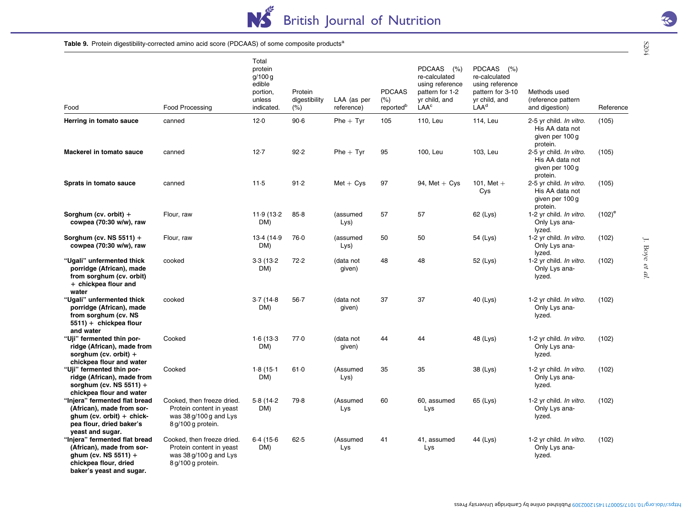# **NS** British Journal of Nutrition

#### <span id="page-21-0"></span>Table 9. Protein digestibility-corrected amino acid score (PDCAAS) of some composite products<sup>a</sup>

| Food                                                                                                                                      | Food Processing                                                                                          | Total<br>protein<br>g/100 g<br>edible<br>portion,<br>unless<br>indicated. | Protein<br>digestibility<br>(% ) | LAA (as per<br>reference) | <b>PDCAAS</b><br>(% )<br>reported <sup>b</sup> | <b>PDCAAS</b><br>(%)<br>re-calculated<br>using reference<br>pattern for 1-2<br>yr child, and<br>LAA <sup>c</sup> | <b>PDCAAS</b><br>(% )<br>re-calculated<br>using reference<br>pattern for 3-10<br>yr child, and<br>LAA <sup>d</sup> | Methods used<br>(reference pattern<br>and digestion)                      | Reference |
|-------------------------------------------------------------------------------------------------------------------------------------------|----------------------------------------------------------------------------------------------------------|---------------------------------------------------------------------------|----------------------------------|---------------------------|------------------------------------------------|------------------------------------------------------------------------------------------------------------------|--------------------------------------------------------------------------------------------------------------------|---------------------------------------------------------------------------|-----------|
| Herring in tomato sauce                                                                                                                   | canned                                                                                                   | 12.0                                                                      | $90-6$                           | $Phe + Tvr$               | 105                                            | 110, Leu                                                                                                         | 114, Leu                                                                                                           | 2-5 yr child. In vitro.<br>His AA data not<br>given per 100 g<br>protein. | (105)     |
| Mackerel in tomato sauce                                                                                                                  | canned                                                                                                   | 12.7                                                                      | 92.2                             | $Phe + Tyr$               | 95                                             | 100, Leu                                                                                                         | 103, Leu                                                                                                           | 2-5 yr child. In vitro.<br>His AA data not<br>given per 100 g<br>protein. | (105)     |
| Sprats in tomato sauce                                                                                                                    | canned                                                                                                   | 11.5                                                                      | 91.2                             | $Met + Cys$               | 97                                             | 94, Met $+$ Cys                                                                                                  | 101, Met $+$<br>Cys                                                                                                | 2-5 yr child. In vitro.<br>His AA data not<br>given per 100 g<br>protein. | (105)     |
| Sorghum (cv. orbit) +<br>cowpea (70:30 w/w), raw                                                                                          | Flour, raw                                                                                               | 11.9(13.2)<br>DM)                                                         | $85 - 8$                         | (assumed<br>Lys)          | 57                                             | 57                                                                                                               | 62 (Lys)                                                                                                           | 1-2 yr child. In vitro.<br>Only Lys ana-<br>lyzed.                        | $(102)^e$ |
| Sorghum (cv. $NS 5511$ ) +<br>cowpea (70:30 w/w), raw                                                                                     | Flour, raw                                                                                               | 13-4 (14-9<br>DM)                                                         | 76.0                             | (assumed<br>Lys)          | 50                                             | 50                                                                                                               | 54 (Lys)                                                                                                           | 1-2 yr child. In vitro.<br>Only Lys ana-<br>lyzed.                        | (102)     |
| "Ugali" unfermented thick<br>porridge (African), made<br>from sorghum (cv. orbit)<br>+ chickpea flour and<br>water                        | cooked                                                                                                   | 3.3(13.2)<br>DM)                                                          | 72.2                             | (data not<br>given)       | 48                                             | 48                                                                                                               | 52 (Lys)                                                                                                           | 1-2 yr child. In vitro.<br>Only Lys ana-<br>lyzed.                        | (102)     |
| "Ugali" unfermented thick<br>porridge (African), made<br>from sorghum (cv. NS<br>5511) + chickpea flour<br>and water                      | cooked                                                                                                   | 3.7(14.8)<br>DM)                                                          | $56 - 7$                         | (data not<br>given)       | 37                                             | 37                                                                                                               | 40 (Lys)                                                                                                           | 1-2 yr child. In vitro.<br>Only Lys ana-<br>lyzed.                        | (102)     |
| "Uji" fermented thin por-<br>ridge (African), made from<br>sorghum (cv. orbit) $+$<br>chickpea flour and water                            | Cooked                                                                                                   | 1.6(13.3)<br>DM)                                                          | 77.0                             | (data not<br>given)       | 44                                             | 44                                                                                                               | 48 (Lys)                                                                                                           | 1-2 yr child. In vitro.<br>Only Lys ana-<br>lyzed.                        | (102)     |
| "Uji" fermented thin por-<br>ridge (African), made from<br>sorghum (cv. NS $5511$ ) +<br>chickpea flour and water                         | Cooked                                                                                                   | 1.8(15.1)<br>DM)                                                          | 61.0                             | (Assumed<br>Lys)          | 35                                             | 35                                                                                                               | 38 (Lys)                                                                                                           | 1-2 yr child. In vitro.<br>Only Lys ana-<br>lyzed.                        | (102)     |
| "Injera" fermented flat bread<br>(African), made from sor-<br>ghum (cv. orbit) $+$ chick-<br>pea flour, dried baker's<br>yeast and sugar. | Cooked, then freeze dried.<br>Protein content in yeast<br>was $38 g/100 g$ and Lys<br>8 g/100 g protein. | 5.8(14.2)<br>DM)                                                          | 79.8                             | (Assumed<br>Lys           | 60                                             | 60. assumed<br>Lys                                                                                               | 65 (Lys)                                                                                                           | 1-2 yr child. In vitro.<br>Only Lys ana-<br>lyzed.                        | (102)     |
| "Injera" fermented flat bread<br>(African), made from sor-<br>ghum (cv. NS 5511) +<br>chickpea flour, dried<br>baker's yeast and sugar.   | Cooked, then freeze dried.<br>Protein content in yeast<br>was 38 g/100 g and Lys<br>8 g/100 g protein.   | 6.4(15.6)<br>DM)                                                          | 62.5                             | (Assumed<br>Lys           | 41                                             | 41, assumed<br>Lys                                                                                               | 44 (Lys)                                                                                                           | 1-2 yr child. In vitro.<br>Only Lys ana-<br>lyzed.                        | (102)     |

 $5204$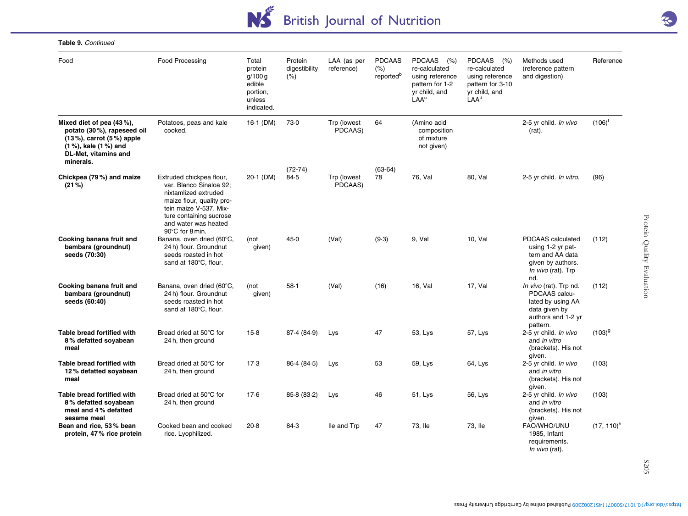

| I<br>i |
|--------|

#### Table 9. ContinuedFood **Food Processing** Total protein g/100 g edibleportion, unlessindicated. Proteindigestibility  $(%)$ LAA (as per reference) PDCAAS $(%)$ reported<sup>b</sup> PDCAAS (%) re-calculatedusing reference pattern for 1-2 yr child, and LAA<sup>c</sup> PDCAAS (%) re-calculatedusing reference pattern for 3-10 yr child, and LAA<sup>d</sup> Methods used(reference pattern and digestion) ReferenceMixed diet of pea (43 %), potato (30 %), rapeseed oil (13 %), carrot (5 %) apple (1 %), kale (1 %) and DL-Met, vitamins and minerals.Potatoes, peas and kale cooked.16·1 (DM) 73·0 Trp (lowest PDCAAS) 64 (Amino acid composition of mixturenot given) 2-5 yr child. In vivo (rat).  $(106)^f$ (72-74) (63-64) Chickpea (79 %) and maize  $(21 %)$ Extruded chickpea flour, var. Blanco Sinaloa 92; nixtamlized extrudedmaize flour, quality protein maize V-537. Mixture containing sucrose and water was heated $90^{\circ}$ C for 8 min. 20·1 (DM) 84·5 Trp (lowest PDCAAS) 78 76, Val 80, Val 2-5 yr child. In vitro. (96) Cooking banana fruit and bambara (groundnut) seeds (70:30) Banana, oven dried (60°C, 24 h) flour. Groundnut seeds roasted in hotsand at 180°C, flour. (not given) 45·0 (Val) (9·3) 9, Val 10, Val PDCAAS calculated using 1-2 yr pattern and AA data given by authors. *In vivo* (rat). Trp nd.(112) Cooking banana fruit and bambara (groundnut) seeds (60:40) Banana, oven dried (60°C, 24 h) flour. Groundnut seeds roasted in hotsand at 180°C, flour. (not given) 58.1 (Val) (16) 16, Val 17, Val In vivo (rat). Trp nd. PDCAAS calculated by using AA data given by authors and 1-2 yr pattern. (112) Table bread fortified with8 % defatted soyabean mealBread dried at 50°C for 24 h, then ground 15·8 87·4 (84·9) Lys 47 53, Lys 57, Lys 2-5 yr child. In vivo and *in vitro* (brackets). His not given.  $(103)^{9}$ Table bread fortified with12 % defatted soyabean mealBread dried at 50°C for 24 h, then ground 17·3 86·4 (84·5) Lys 53 59, Lys 64, Lys 2-5 yr child. In vivo and *in vitro* (brackets). His not given. (103) Table bread fortified with8 % defatted soyabean meal and 4 % defattedsesame mealBread dried at 50°C for 24 h, then ground 17·6 85·8 (83·2) Lys 46 51, Lys 56, Lys 2-5 yr child. In vivo and *in vitro* (brackets). His not given. (103) Bean and rice, 53 % bean protein, 47 % rice protein Cooked bean and cookedrice. Lyophilized. 20·8 84·3 Ile and Trp 47 73, Ile 73, Ile FAO/WHO/UNU 1985, Infant requirements. *In vivo* (rat).  $(17, 110)^h$

S<sub>05</sub>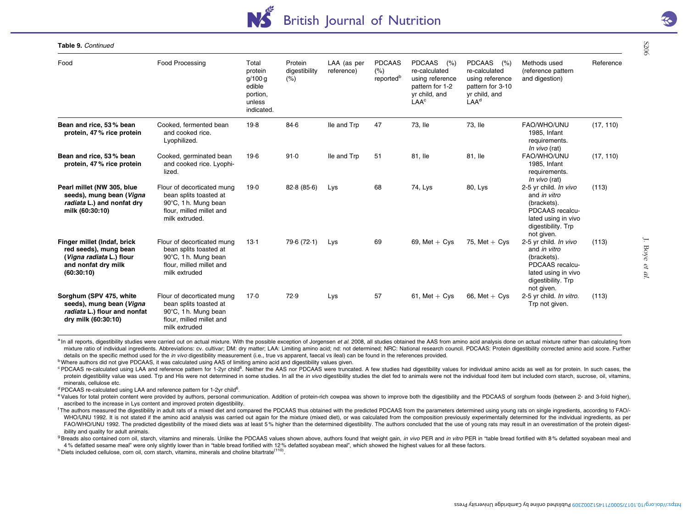

## Table 9. Continued

| Food                                                                                                                  | Food Processing                                                                                                            | Total<br>protein<br>g/100 g<br>edible<br>portion,<br>unless<br>indicated. | Protein<br>digestibility<br>(% ) | LAA (as per<br>reference) | <b>PDCAAS</b><br>(%)<br>reported <sup>b</sup> | <b>PDCAAS</b><br>(%)<br>re-calculated<br>using reference<br>pattern for 1-2<br>yr child, and<br>LAA <sup>c</sup> | <b>PDCAAS</b><br>(% )<br>re-calculated<br>using reference<br>pattern for 3-10<br>yr child, and<br>LAA <sup>d</sup> | Methods used<br>(reference pattern<br>and digestion)                                                                               | Reference |
|-----------------------------------------------------------------------------------------------------------------------|----------------------------------------------------------------------------------------------------------------------------|---------------------------------------------------------------------------|----------------------------------|---------------------------|-----------------------------------------------|------------------------------------------------------------------------------------------------------------------|--------------------------------------------------------------------------------------------------------------------|------------------------------------------------------------------------------------------------------------------------------------|-----------|
| Bean and rice, 53% bean<br>protein, 47% rice protein                                                                  | Cooked, fermented bean<br>and cooked rice.<br>Lyophilized.                                                                 | 19.8                                                                      | $84 - 6$                         | Ile and Trp               | 47                                            | 73, Ile                                                                                                          | 73, Ile                                                                                                            | FAO/WHO/UNU<br>1985, Infant<br>requirements.<br>In vivo (rat)                                                                      | (17, 110) |
| Bean and rice, 53% bean<br>protein, 47% rice protein                                                                  | Cooked, germinated bean<br>and cooked rice. Lyophi-<br>lized.                                                              | 19.6                                                                      | 91.0                             | Ile and Trp               | 51                                            | 81, Ile                                                                                                          | 81, Ile                                                                                                            | FAO/WHO/UNU<br>1985, Infant<br>requirements.<br>In vivo (rat)                                                                      | (17, 110) |
| Pearl millet (NW 305, blue<br>seeds), mung bean (Vigna<br>radiata L.) and nonfat dry<br>milk (60:30:10)               | Flour of decorticated mung<br>bean splits toasted at<br>90°C, 1 h. Mung bean<br>flour, milled millet and<br>milk extruded. | 19.0                                                                      | 82.8(85.6)                       | Lys                       | 68                                            | 74, Lys                                                                                                          | 80, Lys                                                                                                            | 2-5 yr child. In vivo<br>and in vitro<br>(brackets).<br>PDCAAS recalcu-<br>lated using in vivo<br>digestibility. Trp<br>not given. | (113)     |
| Finger millet (Indaf, brick<br>red seeds), mung bean<br>(Vigna radiata L.) flour<br>and nonfat dry milk<br>(60:30:10) | Flour of decorticated mung<br>bean splits toasted at<br>90°C, 1 h. Mung bean<br>flour, milled millet and<br>milk extruded  | $13-1$                                                                    | 79.6 (72.1)                      | Lys                       | 69                                            | 69, Met $+$ Cys                                                                                                  | 75, Met $+$ Cys                                                                                                    | 2-5 yr child. In vivo<br>and in vitro<br>(brackets).<br>PDCAAS recalcu-<br>lated using in vivo<br>digestibility. Trp<br>not given. | (113)     |
| Sorghum (SPV 475, white<br>seeds), mung bean (Vigna<br>radiata L.) flour and nonfat<br>dry milk (60:30:10)            | Flour of decorticated mung<br>bean splits toasted at<br>90°C, 1 h. Mung bean<br>flour, milled millet and<br>milk extruded  | 17.0                                                                      | 72.9                             | Lys                       | 57                                            | 61, Met $+$ Cys                                                                                                  | 66, Met $+$ Cys                                                                                                    | 2-5 yr child. In vitro.<br>Trp not given.                                                                                          | (113)     |

a In all reports, digestibility studies were carried out on actual mixture. With the possible exception of Jorgensen et al. 2008, all studies obtained the AAS from amino acid analysis done on actual mixture rather than cal mixture ratio of individual ingredients. Abbreviations: cv. cultivar; DM: dry matter; LAA: Limiting amino acid; nd: not determined; NRC: National research council. PDCAAS: Protein digestibility corrected amino acid score. details on the specific method used for the *in vivo* digestibility measurement (i.e., true vs apparent, faecal vs ileal) can be found in the references provided.

b Where authors did not give PDCAAS, it was calculated using AAS of limiting amino acid and digestibility values given.

 $\degree$ PDCAAS re-calculated using LAA and reference pattern for 1-2yr child $\degree$ . Neither the AAS nor PDCAAS were truncated. A few studies had digestibility values for individual amino acids as well as for protein. In such ca protein digestibility value was used. Trp and His were not determined in some studies. In all the in vivo digestibility studies the diet fed to animals were not the individual food item but included corn starch, sucrose, o minerals, cellulose etc.

 $d$  PDCAAS re-calculated using LAA and reference pattern for 1-2yr child<sup>6</sup>.

e Values for total protein content were provided by authors, personal communication. Addition of protein-rich cowpea was shown to improve both the digestibility and the PDCAAS of sorghum foods (between 2- and 3-fold higher ascribed to the increase in Lys content and improved protein digestibility.

<sup>f</sup> The authors measured the digestibility in adult rats of a mixed diet and compared the PDCAAS thus obtained with the predicted PDCAAS from the parameters determined using young rats on single ingredients, according to F WHO/UNU 1992. It is not stated if the amino acid analysis was carried out again for the mixture (mixed diet), or was calculated from the composition previously experimentally determined for the individual ingredients, as p FAO/WHO/UNU 1992. The predicted digestibility of the mixed diets was at least 5% higher than the determined digestibility. The authors concluded that the use of young rats may result in an overestimation of the protein dig ibility and quality for adult animals.

<sup>g</sup> Breads also contained corn oil, starch, vitamins and minerals. Unlike the PDCAAS values shown above, authors found that weight gain, in vivo PER and in vitro PER in "table bread fortified with 8% defatted soyabean meal 4 % defatted sesame meal" were only slightly lower than in "table bread fortified with 12 % defatted soyabean meal", which showed the highest values for all these factors.

 $h$  Diets included cellulose, corn oil, corn starch, vitamins, minerals and choline bitartrate<sup>(110)</sup>.

**S206**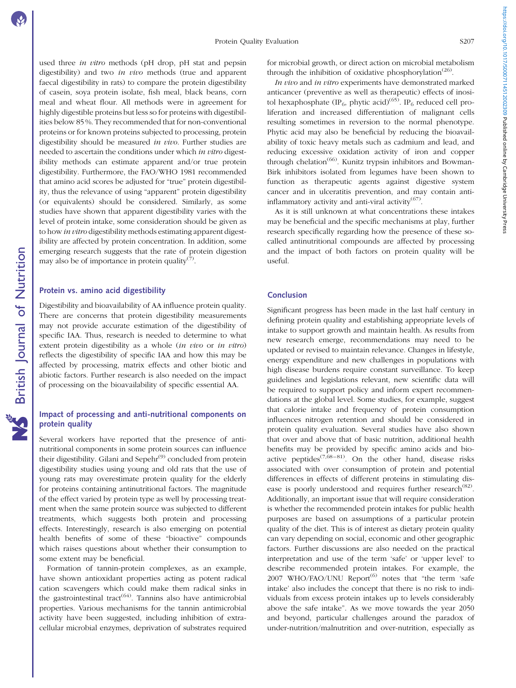used three *in vitro* methods (pH drop, pH stat and pepsin digestibility) and two *in vivo* methods (true and apparent faecal digestibility in rats) to compare the protein digestibility of casein, soya protein isolate, fish meal, black beans, corn meal and wheat flour. All methods were in agreement for highly digestible proteins but less so for proteins with digestibilities below 85 %. They recommended that for non-conventional proteins or for known proteins subjected to processing, protein digestibility should be measured in vivo. Further studies are needed to ascertain the conditions under which in vitro digestibility methods can estimate apparent and/or true protein digestibility. Furthermore, the FAO/WHO 1981 recommended that amino acid scores be adjusted for "true" protein digestibility, thus the relevance of using "apparent" protein digestibility (or equivalents) should be considered. Similarly, as some studies have shown that apparent digestibility varies with the level of protein intake, some consideration should be given as to how *in vitro* digestibility methods estimating apparent digestibility are affected by protein concentration. In addition, some emerging research suggests that the rate of protein digestion may also be of importance in protein quality<sup>(7)</sup>.

#### Protein vs. amino acid digestibility

Digestibility and bioavailability of AA influence protein quality. There are concerns that protein digestibility measurements may not provide accurate estimation of the digestibility of specific IAA. Thus, research is needed to determine to what extent protein digestibility as a whole (in vivo or in vitro) reflects the digestibility of specific IAA and how this may be affected by processing, matrix effects and other biotic and abiotic factors. Further research is also needed on the impact of processing on the bioavailability of specific essential AA.

## Impact of processing and anti-nutritional components on protein quality

Several workers have reported that the presence of antinutritional components in some protein sources can influence their digestibility. Gilani and Sepehr<sup>(9)</sup> concluded from protein digestibility studies using young and old rats that the use of young rats may overestimate protein quality for the elderly for proteins containing antinutritional factors. The magnitude of the effect varied by protein type as well by processing treatment when the same protein source was subjected to different treatments, which suggests both protein and processing effects. Interestingly, research is also emerging on potential health benefits of some of these "bioactive" compounds which raises questions about whether their consumption to some extent may be beneficial.

Formation of tannin-protein complexes, as an example, have shown antioxidant properties acting as potent radical cation scavengers which could make them radical sinks in the gastrointestinal tract<sup> $(64)$ </sup>. Tannins also have antimicrobial properties. Various mechanisms for the tannin antimicrobial activity have been suggested, including inhibition of extracellular microbial enzymes, deprivation of substrates required

for microbial growth, or direct action on microbial metabolism through the inhibition of oxidative phosphorylation<sup>(26)</sup>.

In vivo and in vitro experiments have demonstrated marked anticancer (preventive as well as therapeutic) effects of inositol hexaphosphate (IP<sub>6</sub>, phytic acid)<sup>(65)</sup>. IP<sub>6</sub> reduced cell proliferation and increased differentiation of malignant cells resulting sometimes in reversion to the normal phenotype. Phytic acid may also be beneficial by reducing the bioavailability of toxic heavy metals such as cadmium and lead, and reducing excessive oxidation activity of iron and copper through chelation(66). Kunitz trypsin inhibitors and Bowman-Birk inhibitors isolated from legumes have been shown to function as therapeutic agents against digestive system cancer and in ulceratitis prevention, and may contain antiinflammatory activity and anti-viral activity $(67)$ .

As it is still unknown at what concentrations these intakes may be beneficial and the specific mechanisms at play, further research specifically regarding how the presence of these socalled antinutritional compounds are affected by processing and the impact of both factors on protein quality will be useful.

#### Conclusion

Significant progress has been made in the last half century in defining protein quality and establishing appropriate levels of intake to support growth and maintain health. As results from new research emerge, recommendations may need to be updated or revised to maintain relevance. Changes in lifestyle, energy expenditure and new challenges in populations with high disease burdens require constant surveillance. To keep guidelines and legislations relevant, new scientific data will be required to support policy and inform expert recommendations at the global level. Some studies, for example, suggest that calorie intake and frequency of protein consumption influences nitrogen retention and should be considered in protein quality evaluation. Several studies have also shown that over and above that of basic nutrition, additional health benefits may be provided by specific amino acids and bioactive peptides<sup> $(7,68-81)$ </sup>. On the other hand, disease risks associated with over consumption of protein and potential differences in effects of different proteins in stimulating disease is poorly understood and requires further research<sup>(82)</sup>. Additionally, an important issue that will require consideration is whether the recommended protein intakes for public health purposes are based on assumptions of a particular protein quality of the diet. This is of interest as dietary protein quality can vary depending on social, economic and other geographic factors. Further discussions are also needed on the practical interpretation and use of the term 'safe' or 'upper level' to describe recommended protein intakes. For example, the  $2007$  WHO/FAO/UNU Report $^{(6)}$  notes that "the term 'safe intake' also includes the concept that there is no risk to individuals from excess protein intakes up to levels considerably above the safe intake". As we move towards the year 2050 and beyond, particular challenges around the paradox of under-nutrition/malnutrition and over-nutrition, especially as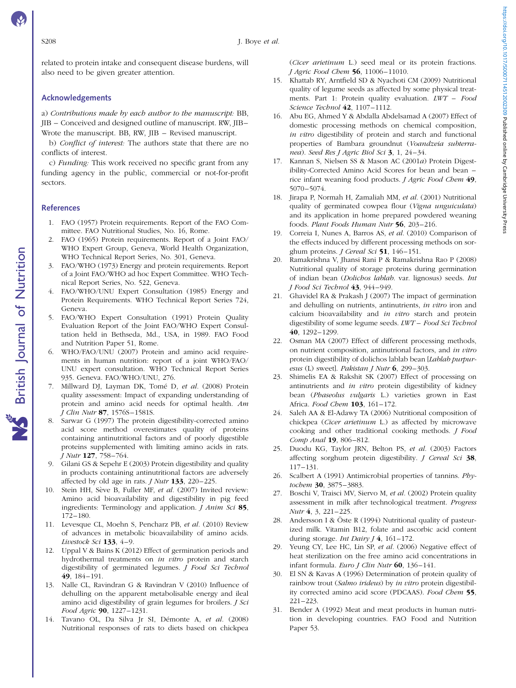related to protein intake and consequent disease burdens, will also need to be given greater attention.

## Acknowledgements

a) Contributions made by each author to the manuscript: BB, JIB – Conceived and designed outline of manuscript. RW, JIB– Wrote the manuscript. BB, RW, JIB – Revised manuscript.

b) Conflict of interest: The authors state that there are no conflicts of interest.

c) Funding: This work received no specific grant from any funding agency in the public, commercial or not-for-profit sectors.

#### References

- 1. FAO (1957) Protein requirements. Report of the FAO Committee. FAO Nutritional Studies, No. 16, Rome.
- 2. FAO (1965) Protein requirements. Report of a Joint FAO/ WHO Expert Group, Geneva, World Health Organization, WHO Technical Report Series, No. 301, Geneva.
- 3. FAO/WHO (1973) Energy and protein requirements. Report of a Joint FAO/WHO ad hoc Expert Committee. WHO Technical Report Series, No. 522, Geneva.
- 4. FAO/WHO/UNU Expert Consultation (1985) Energy and Protein Requirements. WHO Technical Report Series 724, Geneva.
- 5. FAO/WHO Expert Consultation (1991) Protein Quality Evaluation Report of the Joint FAO/WHO Expert Consultation held in Bethseda, Md., USA, in 1989. FAO Food and Nutrition Paper 51, Rome.
- 6. WHO/FAO/UNU (2007) Protein and amino acid requirements in human nutrition: report of a joint WHO/FAO/ UNU expert consultation. WHO Technical Report Series 935. Geneva. FAO/WHO/UNU, 276.
- 7. Millward DJ, Layman DK, Tomé D, et al. (2008) Protein quality assessment: Impact of expanding understanding of protein and amino acid needs for optimal health. Am J Clin Nutr 87, 1576S–1581S.
- 8. Sarwar G (1997) The protein digestibility-corrected amino acid score method overestimates quality of proteins containing antinutritional factors and of poorly digestible proteins supplemented with limiting amino acids in rats. J Nutr 127, 758–764.
- 9. Gilani GS & Sepehr E (2003) Protein digestibility and quality in products containing antinutritional factors are adversely affected by old age in rats.  $J$  Nutr  $133$ ,  $220-225$ .
- 10. Stein HH, Sève B, Fuller MF, et al. (2007) Invited review: Amino acid bioavailability and digestibility in pig feed ingredients: Terminology and application. *J Anim Sci* 85, 172–180.
- 11. Levesque CL, Moehn S, Pencharz PB, et al. (2010) Review of advances in metabolic bioavailability of amino acids. Livestock Sci 133, 4–9.
- 12. Uppal V & Bains K (2012) Effect of germination periods and hydrothermal treatments on in vitro protein and starch digestibility of germinated legumes. *J Food Sci Technol* 49, 184–191.
- 13. Nalle CL, Ravindran G & Ravindran V (2010) Influence of dehulling on the apparent metabolisable energy and ileal amino acid digestibility of grain legumes for broilers. J Sci Food Agric 90, 1227–1231.
- 14. Tavano OL, Da Silva Jr SI, Démonte A, et al. (2008) Nutritional responses of rats to diets based on chickpea

(Cicer arietinum L.) seed meal or its protein fractions. J Agric Food Chem 56, 11006–11010.

- 15. Khattab RY, Arntfield SD & Nyachoti CM (2009) Nutritional quality of legume seeds as affected by some physical treatments. Part 1: Protein quality evaluation. LWT – Food Science Technol 42, 1107–1112.
- 16. Abu EG, Ahmed Y & Abdalla Abdelsamad A (2007) Effect of domestic processing methods on chemical composition, in vitro digestibility of protein and starch and functional properties of Bambara groundnut (Voandzeia subterranea). Seed Res J Agric Biol Sci 3, 1, 24–34.
- 17. Kannan S, Nielsen SS & Mason AC (2001a) Protein Digestibility-Corrected Amino Acid Scores for bean and bean – rice infant weaning food products. J Agric Food Chem 49, 5070–5074.
- 18. Jirapa P, Normah H, Zamaliah MM, et al. (2001) Nutritional quality of germinated cowpea flour (Vigna unguiculata) and its application in home prepared powdered weaning foods. Plant Foods Human Nutr 56, 203–216.
- 19. Correia I, Nunes A, Barros AS, et al. (2010) Comparison of the effects induced by different processing methods on sorghum proteins. J Cereal Sci 51, 146–151.
- 20. Ramakrishna V, Jhansi Rani P & Ramakrishna Rao P (2008) Nutritional quality of storage proteins during germination of indian bean (Dolichos lablab. var. lignosus) seeds. Int J Food Sci Technol 43, 944–949.
- 21. Ghavidel RA & Prakash J (2007) The impact of germination and dehulling on nutrients, antinutrients, in vitro iron and calcium bioavailability and in vitro starch and protein digestibility of some legume seeds. LWT – Food Sci Technol 40, 1292–1299.
- 22. Osman MA (2007) Effect of different processing methods, on nutrient composition, antinutrional factors, and in vitro protein digestibility of dolichos lablab bean [Lablab purpuresus (L) sweet]. Pakistan J Nutr  $6$ , 299–303.
- 23. Shimelis EA & Rakshit SK (2007) Effect of processing on antinutrients and in vitro protein digestibility of kidney bean (Phaseolus vulgaris L.) varieties grown in East Africa. Food Chem 103, 161–172.
- 24. Saleh AA & El-Adawy TA (2006) Nutritional composition of chickpea (Cicer arietinum L.) as affected by microwave cooking and other traditional cooking methods. J Food Comp Anal 19, 806-812.
- 25. Duodu KG, Taylor JRN, Belton PS, et al. (2003) Factors affecting sorghum protein digestibility. *J Cereal Sci* 38, 117–131.
- 26. Scalbert A (1991) Antimicrobial properties of tannins.  $Phy$ tochem 30, 3875–3883.
- 27. Boschi V, Traisci MV, Siervo M, et al. (2002) Protein quality assessment in milk after technological treatment. Progress Nutr 4, 3, 221–225.
- 28. Andersson I & Öste R (1994) Nutritional quality of pasteurized milk. Vitamin B12, folate and ascorbic acid content during storage. *Int Dairy*  $\overline{14}$ , 161–172.
- 29. Yeung CY, Lee HC, Lin SP, et al. (2006) Negative effect of heat sterilization on the free amino acid concentrations in infant formula. Euro J Clin Nutr 60, 136-141.
- 30. El SN & Kavas A (1996) Determination of protein quality of rainbow trout (Salmo irideus) by in vitro protein digestibility corrected amino acid score (PDCAAS). Food Chem 55, 221–223.
- 31. Bender A (1992) Meat and meat products in human nutrition in developing countries. FAO Food and Nutrition Paper 53.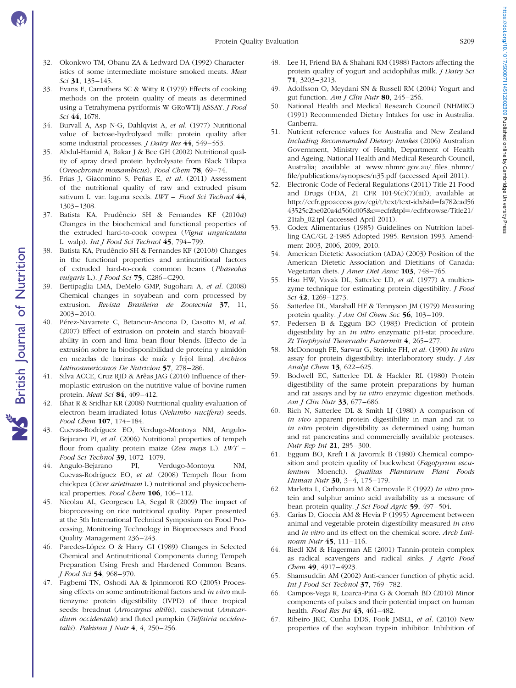- 32. Okonkwo TM, Obanu ZA & Ledward DA (1992) Characteristics of some intermediate moisture smoked meats. Meat Sci 31, 135–145.
- 33. Evans E, Carruthers SC & Witty R (1979) Effects of cooking methods on the protein quality of meats as determined using a Tetrahymena pyriformis W GRoWTlj ASSAY. J Food Sci 44, 1678.
- 34. Burvall A, Asp N-G, Dahlqvist A, et al. (1977) Nutritional value of lactose-hydrolysed milk: protein quality after some industrial processes. *J Dairy Res* 44, 549–553.
- 35. Abdul-Hamid A, Bakar J & Bee GH (2002) Nutritional quality of spray dried protein hydrolysate from Black Tilapia (Oreochromis mossambicus). Food Chem 78, 69–74.
- 36. Frias J, Giacomino S, Peñas E, et al. (2011) Assessment of the nutritional quality of raw and extruded pisum sativum L. var. laguna seeds.  $LWT - Food Sci Technology 44$ , 1303–1308.
- 37. Batista KA, Prudêncio SH & Fernandes KF (2010a) Changes in the biochemical and functional properties of the extruded hard-to-cook cowpea (Vigna unguiculata L. walp). Int J Food Sci Technol 45, 794–799.
- 38. Batista KA, Prudêncio SH & Fernandes KF (2010b) Changes in the functional properties and antinutritional factors of extruded hard-to-cook common beans ( Phaseolus vulgaris L.). J Food Sci 75, C286–C290.
- 39. Bertipaglia LMA, DeMelo GMP, Sugohara A, et al. (2008) Chemical changes in soyabean and corn processed by extrusion. Revista Brasileira de Zootecnia 37, 11, 2003–2010.
- 40. Pérez-Navarrete C, Betancur-Ancona D, Casotto M, et al. (2007) Effect of extrusion on protein and starch bioavailability in corn and lima bean flour blends. [Efecto de la extrusión sobre la biodisponibilidad de proteína y almidón en mezclas de harinas de maíz y frijol lima]. Archivos Latinoamericanos De Nutricion 57, 278–286.
- 41. Silva ACCE, Cruz RJD & Arêas JAG (2010) Influence of thermoplastic extrusion on the nutritive value of bovine rumen protein. Meat Sci 84, 409-412.
- 42. Bhat R & Sridhar KR (2008) Nutritional quality evaluation of electron beam-irradiated lotus (Nelumbo nucifera) seeds. Food Chem 107, 174–184.
- 43. Cuevas-Rodríguez EO, Verdugo-Montoya NM, Angulo-Bejarano PI, et al. (2006) Nutritional properties of tempeh flour from quality protein maize (Zea mays L.). LWT – Food Sci Technol 39, 1072–1079.
- 44. Angulo-Bejarano PI, Verdugo-Montoya NM, Cuevas-Rodríguez EO, et al. (2008) Tempeh flour from chickpea (Cicer arietinum L.) nutritional and physicochemical properties. Food Chem 106, 106-112.
- 45. Nicolau AL, Georgescu LA, Segal R (2009) The impact of bioprocessing on rice nutritional quality. Paper presented at the 5th International Technical Symposium on Food Processing, Monitoring Technology in Bioprocesses and Food Quality Management 236–243.
- 46. Paredes-López O & Harry GI (1989) Changes in Selected Chemical and Antinutritional Components during Tempeh Preparation Using Fresh and Hardened Common Beans. J Food Sci 54, 968–970.
- 47. Fagbemi TN, Oshodi AA & Ipinmoroti KO (2005) Processing effects on some antinutritional factors and in vitro multienzyme protein digestibility (IVPD) of three tropical seeds: breadnut (Artocarpus altilis), cashewnut (Anacardium occidentale) and fluted pumpkin (Telfairia occidentalis). Pakistan I Nutr  $4, 4, 250-256$ .
- 48. Lee H, Friend BA & Shahani KM (1988) Factors affecting the protein quality of yogurt and acidophilus milk. J Dairy Sci 71, 3203–3213.
- 49. Adolfsson O, Meydani SN & Russell RM (2004) Yogurt and gut function.  $Am J$  Clin Nutr 80, 245-256.
- 50. National Health and Medical Research Council (NHMRC) (1991) Recommended Dietary Intakes for use in Australia. Canberra.
- 51. Nutrient reference values for Australia and New Zealand Including Recommended Dietary Intakes (2006) Australian Government, Ministry of Health, Department of Health and Ageing, National Health and Medical Research Council, Australia; available at www.nhmrc.gov.au/\_files\_nhmrc/ file/publications/synopses/n35.pdf (accessed April 2011).
- 52. Electronic Code of Federal Regulations (2011) Title 21 Food and Drugs (FDA, 21 CFR 101·9(c)(7)(iii)); available at http://ecfr.gpoaccess.gov/cgi/t/text/text-idx?sid=fa782cad56 43525c2be020a4d560c005&c=ecfr&tpl=/ecfrbrowse/Title21/ 21tab\_02.tpl (accessed April 2011).
- 53. Codex Alimentarius (1985) Guidelines on Nutrition labelling CAC/GL 2-1985 Adopted 1985. Revision 1993. Amendment 2003, 2006, 2009, 2010.
- 54. American Dietetic Association (ADA) (2003) Position of the American Dietetic Association and Dietitians of Canada: Vegetarian diets. J Amer Diet Assoc 103, 748-765.
- 55. Hsu HW, Vavak DL, Satterlee LD, et al. (1977) A multienzyme technique for estimating protein digestibility. J Food Sci 42, 1269-1273.
- 56. Satterlee DL, Marshall HF & Tennyson JM (1979) Measuring protein quality. *I Am Oil Chem Soc* 56, 103-109.
- 57. Pedersen B & Eggum BO (1983) Prediction of protein digestibility by an in vitro enzymatic pH-stat procedure. Zt Tierphysiol Tierernahr Furtermitt 4, 265–277.
- 58. McDonough FE, Sarwar G, Steinke FH, et al. (1990) In vitro assay for protein digestibility: interlaboratory study. *J Ass* Analyt Chem 13, 622-625.
- 59. Bodwell EC, Satterlee DL & Hackler RL (1980) Protein digestibility of the same protein preparations by human and rat assays and by in vitro enzymic digestion methods. Am J Clin Nutr 33, 677–686.
- 60. Rich N, Satterlee DL & Smith LJ (1980) A comparison of in vivo apparent protein digestibility in man and rat to in vitro protein digestibility as determined using human and rat pancreatins and commercially available proteases. Nutr Rep Int 21, 285–300.
- 61. Eggum BO, Kreft I & Javornik B (1980) Chemical composition and protein quality of buckwheat (Fagopyrum esculentum Moench). Qualitas Plantarum Plant Foods Human Nutr 30, 3–4, 175–179.
- 62. Marletta L, Carbonara M & Carnovale E (1992) In vitro protein and sulphur amino acid availability as a measure of bean protein quality. *J Sci Food Agric* 59, 497-504.
- 63. Carias D, Cioccia AM & Hevia P (1995) Agreement between animal and vegetable protein digestibility measured in vivo and in vitro and its effect on the chemical score. Arch Latinoam Nutr 45, 111–116.
- 64. Riedl KM & Hagerman AE (2001) Tannin-protein complex as radical scavengers and radical sinks. J Agric Food Chem 49, 4917-4923.
- 65. Shamsuddin AM (2002) Anti-cancer function of phytic acid. Int J Food Sci Technol 37, 769-782.
- 66. Campos-Vega R, Loarca-Pina G & Oomah BD (2010) Minor components of pulses and their potential impact on human health. *Food Res Int* 43, 461-482.
- 67. Ribeiro JKC, Cunha DDS, Fook JMSLL, et al. (2010) New properties of the soybean trypsin inhibitor: Inhibition of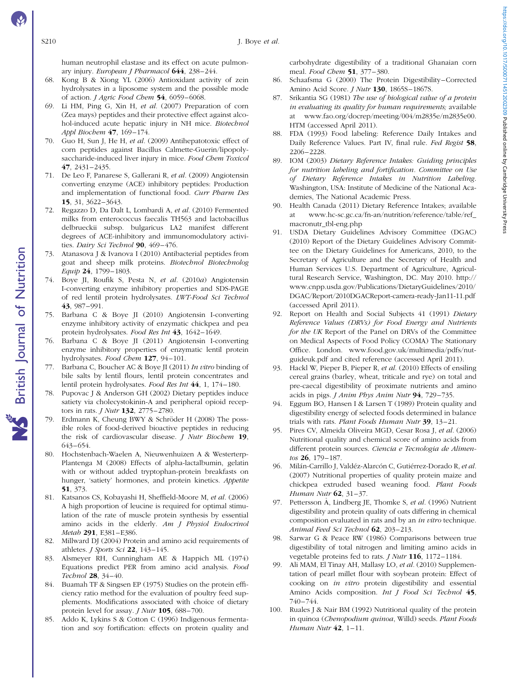British Journal of Nutrition

**NS** British Journal of Nutrition

human neutrophil elastase and its effect on acute pulmonary injury. European J Pharmacol 644, 238–244.

- Kong B & Xiong YL (2006) Antioxidant activity of zein hydrolysates in a liposome system and the possible mode of action. J Agric Food Chem 54, 6059–6068.
- 69. Li HM, Ping G, Xin H, et al. (2007) Preparation of corn (Zea mays) peptides and their protective effect against alcohol-induced acute hepatic injury in NH mice. Biotechnol Appl Biochem 47, 169–174.
- 70. Guo H, Sun J, He H, et al. (2009) Antihepatotoxic effect of corn peptides against Bacillus Calmette-Guerin/lipopolysaccharide-induced liver injury in mice. Food Chem Toxicol 47, 2431–2435.
- 71. De Leo F, Panarese S, Gallerani R, et al. (2009) Angiotensin converting enzyme (ACE) inhibitory peptides: Production and implementation of functional food. Curr Pharm Des 15, 31, 3622–3643.
- 72. Regazzo D, Da Dalt L, Lombardi A, et al. (2010) Fermented milks from enterococcus faecalis TH563 and lactobacillus delbrueckii subsp. bulgaricus LA2 manifest different degrees of ACE-inhibitory and immunomodulatory activities. Dairy Sci Technol 90, 469-476.
- 73. Atanasova J & Ivanova I (2010) Antibacterial peptides from goat and sheep milk proteins. Biotechnol Biotechnolog Equip 24, 1799–1803.
- 74. Boye JI, Roufik S, Pesta N, et al. (2010a) Angiotensin I-converting enzyme inhibitory properties and SDS-PAGE of red lentil protein hydrolysates. LWT-Food Sci Technol 43, 987–991.
- 75. Barbana C & Boye JI (2010) Angiotensin I-converting enzyme inhibitory activity of enzymatic chickpea and pea protein hydrolysates. Food Res Int 43, 1642–1649.
- 76. Barbana C & Boye JI (2011) Angiotensin I-converting enzyme inhibitory properties of enzymatic lentil protein hydrolysates. Food Chem 127, 94–101.
- 77. Barbana C, Boucher AC & Boye JI (2011) In vitro binding of bile salts by lentil flours, lentil protein concentrates and lentil protein hydrolysates. Food Res Int 44, 1, 174–180.
- 78. Pupovac J & Anderson GH (2002) Dietary peptides induce satiety via cholecystokinin-A and peripheral opioid receptors in rats. *J Nutr* **132**, 2775-2780.
- Erdmann K, Cheung BWY & Schröder H (2008) The possible roles of food-derived bioactive peptides in reducing the risk of cardiovascular disease. J Nutr Biochem 19, 643–654.
- 80. Hochstenbach-Waelen A, Nieuwenhuizen A & Westerterp-Plantenga M (2008) Effects of alpha-lactalbumin, gelatin with or without added tryptophan-protein breakfasts on hunger, 'satiety' hormones, and protein kinetics. Appetite 51, 373.
- 81. Katsanos CS, Kobayashi H, Sheffield-Moore M, et al. (2006) A high proportion of leucine is required for optimal stimulation of the rate of muscle protein synthesis by essential amino acids in the elderly. Am J Physiol Endocrinol Metab 291, E381–E386.
- 82. Millward DJ (2004) Protein and amino acid requirements of athletes. J Sports Sci 22, 143–145.
- 83. Alsmeyer RH, Cunningham AE & Happich ML (1974) Equations predict PER from amino acid analysis. Food Technol 28, 34–40.
- 84. Buamah TF & Singsen EP (1975) Studies on the protein efficiency ratio method for the evaluation of poultry feed supplements. Modifications associated with choice of dietary protein level for assay. *J Nutr* **105**, 688-700.
- 85. Addo K, Lykins S & Cotton C (1996) Indigenous fermentation and soy fortification: effects on protein quality and

carbohydrate digestibility of a traditional Ghanaian corn meal. Food Chem **51**, 377-380.

- 86. Schaafsma G (2000) The Protein Digestibility–Corrected Amino Acid Score. J Nutr 130, 1865S–1867S.
- 87. Srikantia SG (1981) The use of biological value of a protein in evaluating its quality for human requirements; available at www.fao.org/docrep/meeting/004/m2835e/m2835e00. HTM (accessed April 2011).
- 88. FDA (1993) Food labeling: Reference Daily Intakes and Daily Reference Values. Part IV, final rule. Fed Regist 58, 2206–2228.
- 89. IOM (2003) Dietary Reference Intakes: Guiding principles for nutrition labeling and fortification. Committee on Use of Dietary Reference Intakes in Nutrition Labeling. Washington, USA: Institute of Medicine of the National Academies, The National Academic Press.
- 90. Health Canada (2011) Dietary Reference Intakes; available at www.hc-sc.gc.ca/fn-an/nutrition/reference/table/ref\_ macronutr\_tbl-eng.php
- 91. USDA Dietary Guidelines Advisory Committee (DGAC) (2010) Report of the Dietary Guidelines Advisory Committee on the Dietary Guidelines for Americans, 2010, to the Secretary of Agriculture and the Secretary of Health and Human Services U.S. Department of Agriculture, Agricultural Research Service, Washington, DC. May 2010. http:// www.cnpp.usda.gov/Publications/DietaryGuidelines/2010/ DGAC/Report/2010DGACReport-camera-ready-Jan11-11.pdf (accessed April 2011).
- 92. Report on Health and Social Subjects 41 (1991) Dietary Reference Values (DRVs) for Food Energy and Nutrients for the UK Report of the Panel on DRVs of the Committee on Medical Aspects of Food Policy (COMA) The Stationary Office. London. www.food.gov.uk/multimedia/pdfs/nutguideuk.pdf and cited reference (accessed April 2011).
- 93. Hackl W, Pieper B, Pieper R, et al. (2010) Effects of ensiling cereal grains (barley, wheat, triticale and rye) on total and pre-caecal digestibility of proximate nutrients and amino acids in pigs. J Anim Phys Anim Nutr 94, 729–735.
- 94. Eggum BO, Hansen I & Larsen T (1989) Protein quality and digestibility energy of selected foods determined in balance trials with rats. Plant Foods Human Nutr 39, 13–21.
- 95. Pires CV, Almeida Oliveira MGD, Cesar Rosa J, et al. (2006) Nutritional quality and chemical score of amino acids from different protein sources. Ciencia e Tecnologia de Alimentos 26, 179–187.
- 96. Milán-Carrillo J, Valdéz-Alarcón C, Gutiérrez-Dorado R, et al. (2007) Nutritional properties of quality protein maize and chickpea extruded based weaning food. Plant Foods Human Nutr 62, 31–37.
- 97. Pettersson Å, Lindberg JE, Thomke S, et al. (1996) Nutrient digestibility and protein quality of oats differing in chemical composition evaluated in rats and by an in vitro technique. Animal Feed Sci Technol 62, 203-213.
- 98. Sarwar G & Peace RW (1986) Comparisons between true digestibility of total nitrogen and limiting amino acids in vegetable proteins fed to rats. J Nutr 116, 1172–1184.
- 99. Ali MAM, El Tinay AH, Mallasy LO, et al. (2010) Supplementation of pearl millet flour with soybean protein: Effect of cooking on in vitro protein digestibility and essential Amino Acids composition. *Int J Food Sci Technol* 45, 740–744.
- 100. Ruales J & Nair BM (1992) Nutritional quality of the protein in quinoa (Chenopodium quinoa, Willd) seeds. Plant Foods Human Nutr 42, 1–11.